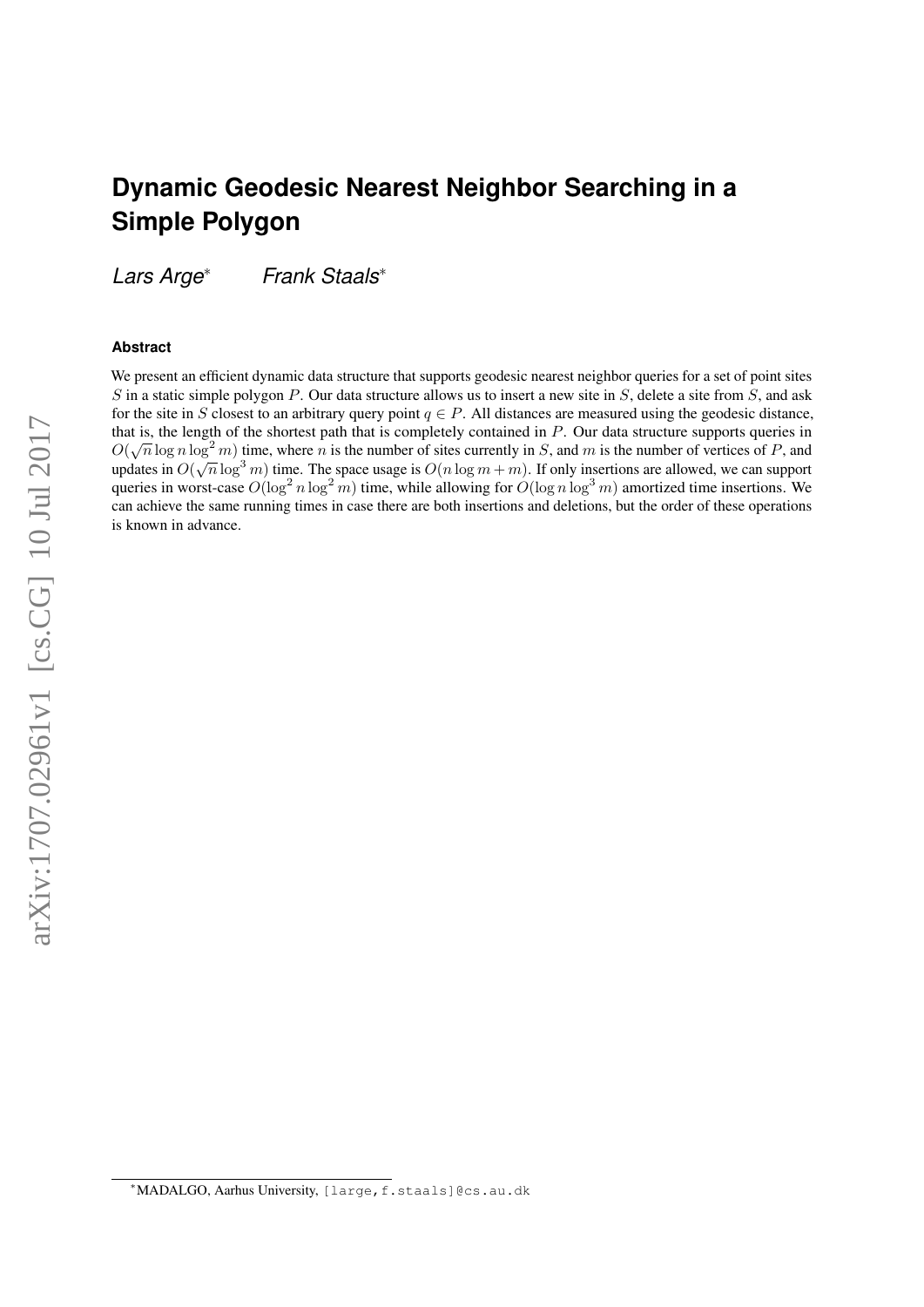# **Dynamic Geodesic Nearest Neighbor Searching in a Simple Polygon**

*Lars Arge*∗ *Frank Staals*∗

#### **Abstract**

We present an efficient dynamic data structure that supports geodesic nearest neighbor queries for a set of point sites  $S$  in a static simple polygon  $P$ . Our data structure allows us to insert a new site in  $S$ , delete a site from  $S$ , and ask for the site in S closest to an arbitrary query point  $q \in P$ . All distances are measured using the geodesic distance, that is, the length of the shortest path that is completely contained in P. Our data structure supports queries in  $O(\sqrt{n}\log n\log^2 m)$  time, where n is the number of sites currently in S, and m is the number of vertices of P, and updates in  $O(\sqrt{n} \log^3 m)$  time. The space usage is  $O(n \log m + m)$ . If only insertions are allowed, we can support queries in worst-case  $O(\log^2 n \log^2 m)$  time, while allowing for  $O(\log n \log^3 m)$  amortized time insertions. We can achieve the same running times in case there are both insertions and deletions, but the order of these operations is known in advance.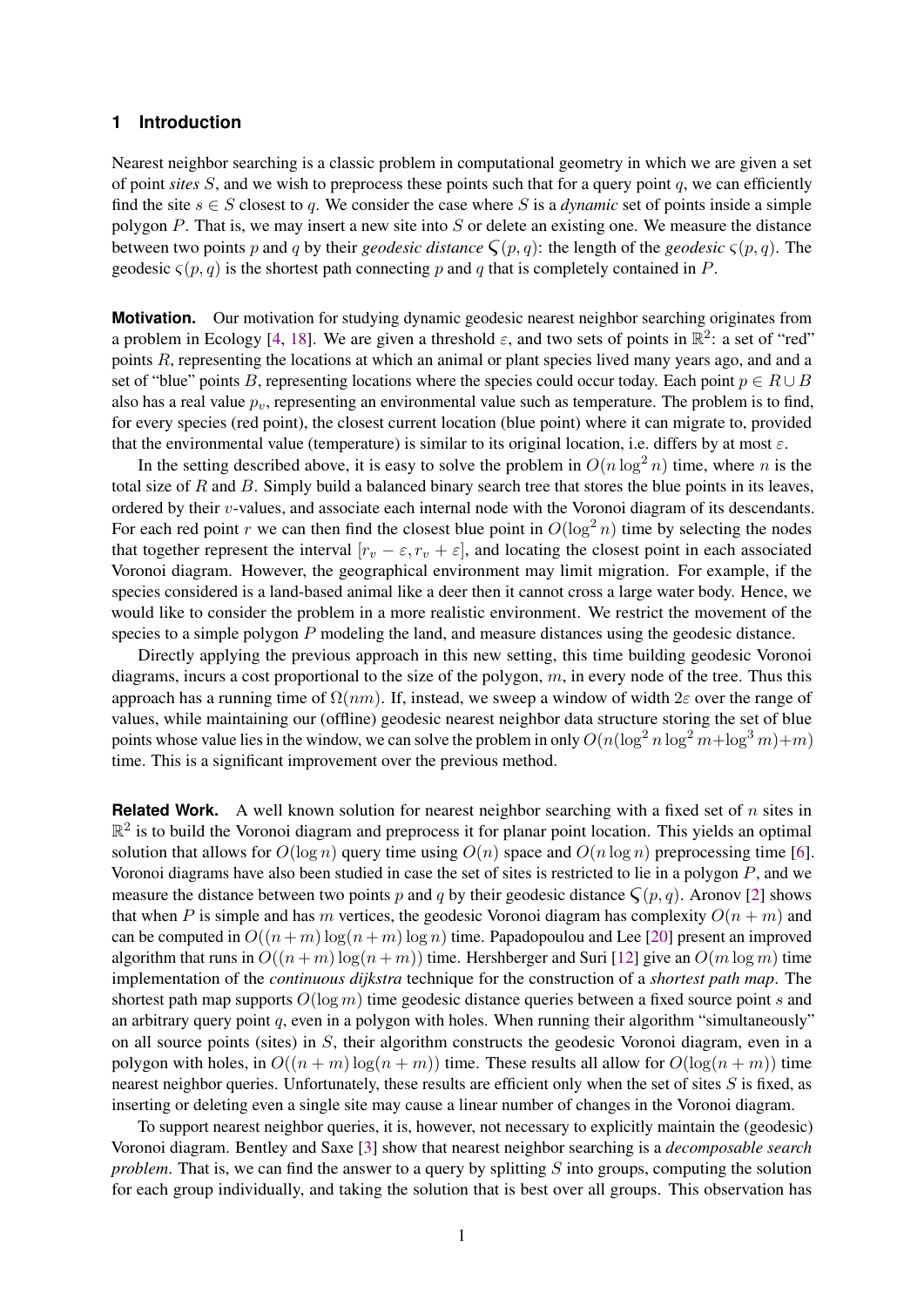# **1 Introduction**

Nearest neighbor searching is a classic problem in computational geometry in which we are given a set of point *sites*  $S$ , and we wish to preprocess these points such that for a query point  $q$ , we can efficiently find the site  $s \in S$  closest to q. We consider the case where S is a *dynamic* set of points inside a simple polygon P. That is, we may insert a new site into S or delete an existing one. We measure the distance between two points p and q by their *geodesic distance*  $\zeta(p,q)$ : the length of the *geodesic*  $\zeta(p,q)$ . The geodesic  $\zeta(p,q)$  is the shortest path connecting p and q that is completely contained in P.

**Motivation.** Our motivation for studying dynamic geodesic nearest neighbor searching originates from a problem in Ecology [\[4,](#page-15-0) [18\]](#page-16-0). We are given a threshold  $\varepsilon$ , and two sets of points in  $\mathbb{R}^2$ : a set of "red" points R, representing the locations at which an animal or plant species lived many years ago, and and a set of "blue" points B, representing locations where the species could occur today. Each point  $p \in R \cup B$ also has a real value  $p<sub>v</sub>$ , representing an environmental value such as temperature. The problem is to find, for every species (red point), the closest current location (blue point) where it can migrate to, provided that the environmental value (temperature) is similar to its original location, i.e. differs by at most  $\varepsilon$ .

In the setting described above, it is easy to solve the problem in  $O(n \log^2 n)$  time, where n is the total size of  $R$  and  $B$ . Simply build a balanced binary search tree that stores the blue points in its leaves, ordered by their  $v$ -values, and associate each internal node with the Voronoi diagram of its descendants. For each red point r we can then find the closest blue point in  $O(\log^2 n)$  time by selecting the nodes that together represent the interval  $[r_v - \varepsilon, r_v + \varepsilon]$ , and locating the closest point in each associated Voronoi diagram. However, the geographical environment may limit migration. For example, if the species considered is a land-based animal like a deer then it cannot cross a large water body. Hence, we would like to consider the problem in a more realistic environment. We restrict the movement of the species to a simple polygon P modeling the land, and measure distances using the geodesic distance.

Directly applying the previous approach in this new setting, this time building geodesic Voronoi diagrams, incurs a cost proportional to the size of the polygon, m, in every node of the tree. Thus this approach has a running time of  $\Omega(nm)$ . If, instead, we sweep a window of width  $2\varepsilon$  over the range of values, while maintaining our (offline) geodesic nearest neighbor data structure storing the set of blue points whose value lies in the window, we can solve the problem in only  $O(n(\log^2 n \log^2 m + \log^3 m) + m)$ time. This is a significant improvement over the previous method.

**Related Work.** A well known solution for nearest neighbor searching with a fixed set of n sites in  $\mathbb{R}^2$  is to build the Voronoi diagram and preprocess it for planar point location. This yields an optimal solution that allows for  $O(\log n)$  query time using  $O(n)$  space and  $O(n \log n)$  preprocessing time [\[6\]](#page-15-1). Voronoi diagrams have also been studied in case the set of sites is restricted to lie in a polygon P, and we measure the distance between two points p and q by their geodesic distance  $\mathcal{S}(p, q)$ . Aronov [\[2\]](#page-15-2) shows that when P is simple and has m vertices, the geodesic Voronoi diagram has complexity  $O(n + m)$  and can be computed in  $O((n+m) \log(n+m) \log n)$  time. Papadopoulou and Lee [\[20\]](#page-16-1) present an improved algorithm that runs in  $O((n+m)\log(n+m))$  time. Hershberger and Suri [\[12\]](#page-16-2) give an  $O(m \log m)$  time implementation of the *continuous dijkstra* technique for the construction of a *shortest path map*. The shortest path map supports  $O(\log m)$  time geodesic distance queries between a fixed source point s and an arbitrary query point  $q$ , even in a polygon with holes. When running their algorithm "simultaneously" on all source points (sites) in S, their algorithm constructs the geodesic Voronoi diagram, even in a polygon with holes, in  $O((n + m) \log(n + m))$  time. These results all allow for  $O(\log(n + m))$  time nearest neighbor queries. Unfortunately, these results are efficient only when the set of sites S is fixed, as inserting or deleting even a single site may cause a linear number of changes in the Voronoi diagram.

To support nearest neighbor queries, it is, however, not necessary to explicitly maintain the (geodesic) Voronoi diagram. Bentley and Saxe [\[3\]](#page-15-3) show that nearest neighbor searching is a *decomposable search problem*. That is, we can find the answer to a query by splitting S into groups, computing the solution for each group individually, and taking the solution that is best over all groups. This observation has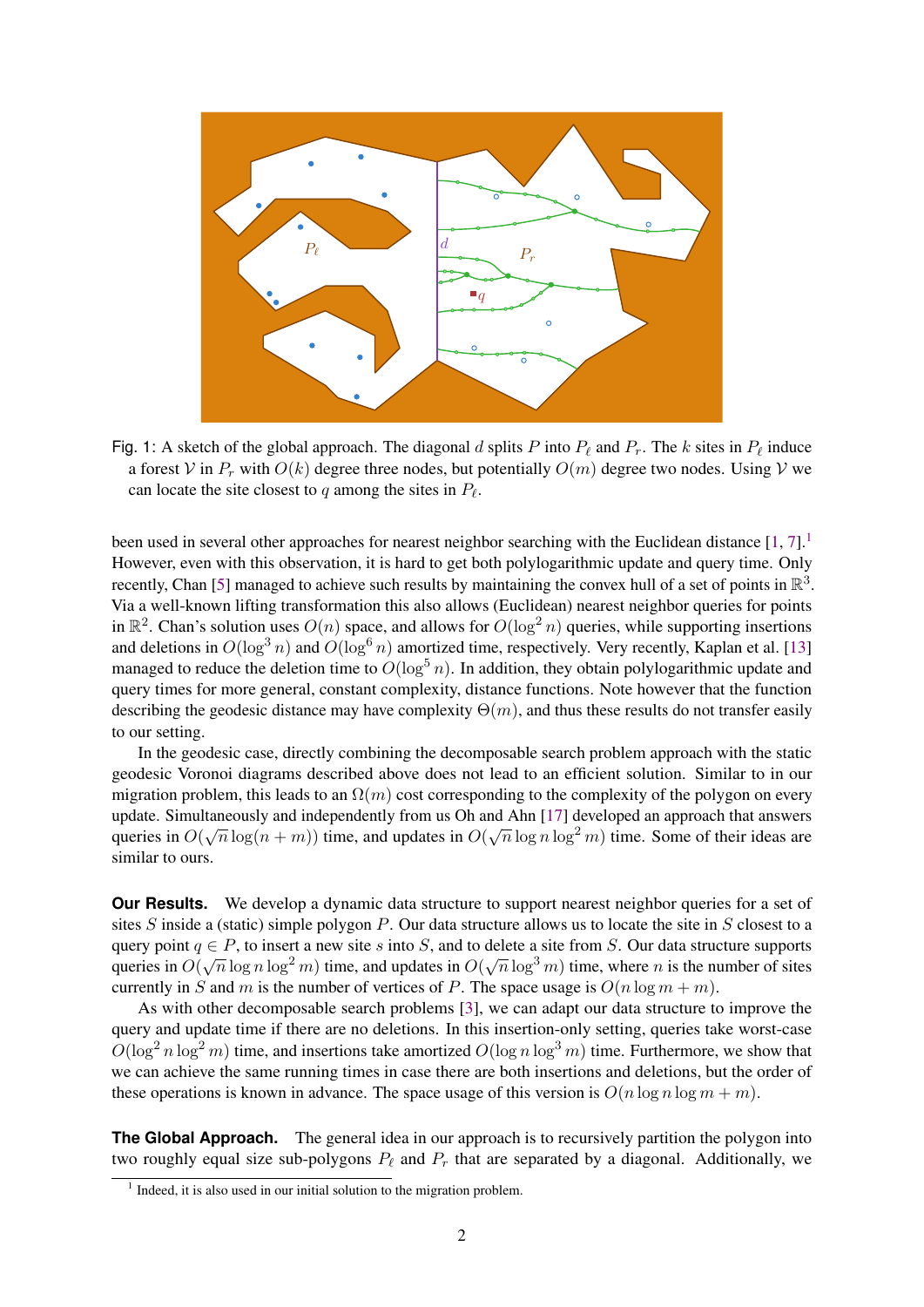<span id="page-2-1"></span>

Fig. 1: A sketch of the global approach. The diagonal d splits P into  $P_\ell$  and  $P_r$ . The k sites in  $P_\ell$  induce a forest V in  $P_r$  with  $O(k)$  degree three nodes, but potentially  $O(m)$  degree two nodes. Using V we can locate the site closest to q among the sites in  $P_\ell$ .

been used in several other approaches for nearest neighbor searching with the Euclidean distance  $[1, 7]$  $[1, 7]$  $[1, 7]$ .<sup>[1](#page-2-0)</sup> However, even with this observation, it is hard to get both polylogarithmic update and query time. Only recently, Chan [\[5\]](#page-15-6) managed to achieve such results by maintaining the convex hull of a set of points in  $\mathbb{R}^3$ . Via a well-known lifting transformation this also allows (Euclidean) nearest neighbor queries for points in  $\mathbb{R}^2$ . Chan's solution uses  $O(n)$  space, and allows for  $O(\log^2 n)$  queries, while supporting insertions and deletions in  $O(\log^3 n)$  and  $O(\log^6 n)$  amortized time, respectively. Very recently, Kaplan et al. [\[13\]](#page-16-3) managed to reduce the deletion time to  $O(\log^5 n)$ . In addition, they obtain polylogarithmic update and query times for more general, constant complexity, distance functions. Note however that the function describing the geodesic distance may have complexity  $\Theta(m)$ , and thus these results do not transfer easily to our setting.

In the geodesic case, directly combining the decomposable search problem approach with the static geodesic Voronoi diagrams described above does not lead to an efficient solution. Similar to in our migration problem, this leads to an  $\Omega(m)$  cost corresponding to the complexity of the polygon on every update. Simultaneously and independently from us Oh and Ahn [\[17\]](#page-16-4) developed an approach that answers queries in  $O(\sqrt{n}\log(n+m))$  time, and updates in  $O(\sqrt{n}\log n\log^2 m)$  time. Some of their ideas are similar to ours.

**Our Results.** We develop a dynamic data structure to support nearest neighbor queries for a set of sites  $S$  inside a (static) simple polygon  $P$ . Our data structure allows us to locate the site in  $S$  closest to a query point  $q \in P$ , to insert a new site s into S, and to delete a site from S. Our data structure supports queries in  $O(\sqrt{n}\log n\log^2 m)$  time, and updates in  $O(\sqrt{n}\log^3 m)$  time, where n is the number of sites currently in S and m is the number of vertices of P. The space usage is  $O(n \log m + m)$ .

As with other decomposable search problems [\[3\]](#page-15-3), we can adapt our data structure to improve the query and update time if there are no deletions. In this insertion-only setting, queries take worst-case  $O(\log^2 n \log^2 m)$  time, and insertions take amortized  $O(\log n \log^3 m)$  time. Furthermore, we show that we can achieve the same running times in case there are both insertions and deletions, but the order of these operations is known in advance. The space usage of this version is  $O(n \log n \log m + m)$ .

**The Global Approach.** The general idea in our approach is to recursively partition the polygon into two roughly equal size sub-polygons  $P_\ell$  and  $P_r$  that are separated by a diagonal. Additionally, we

<span id="page-2-0"></span><sup>&</sup>lt;sup>1</sup> Indeed, it is also used in our initial solution to the migration problem.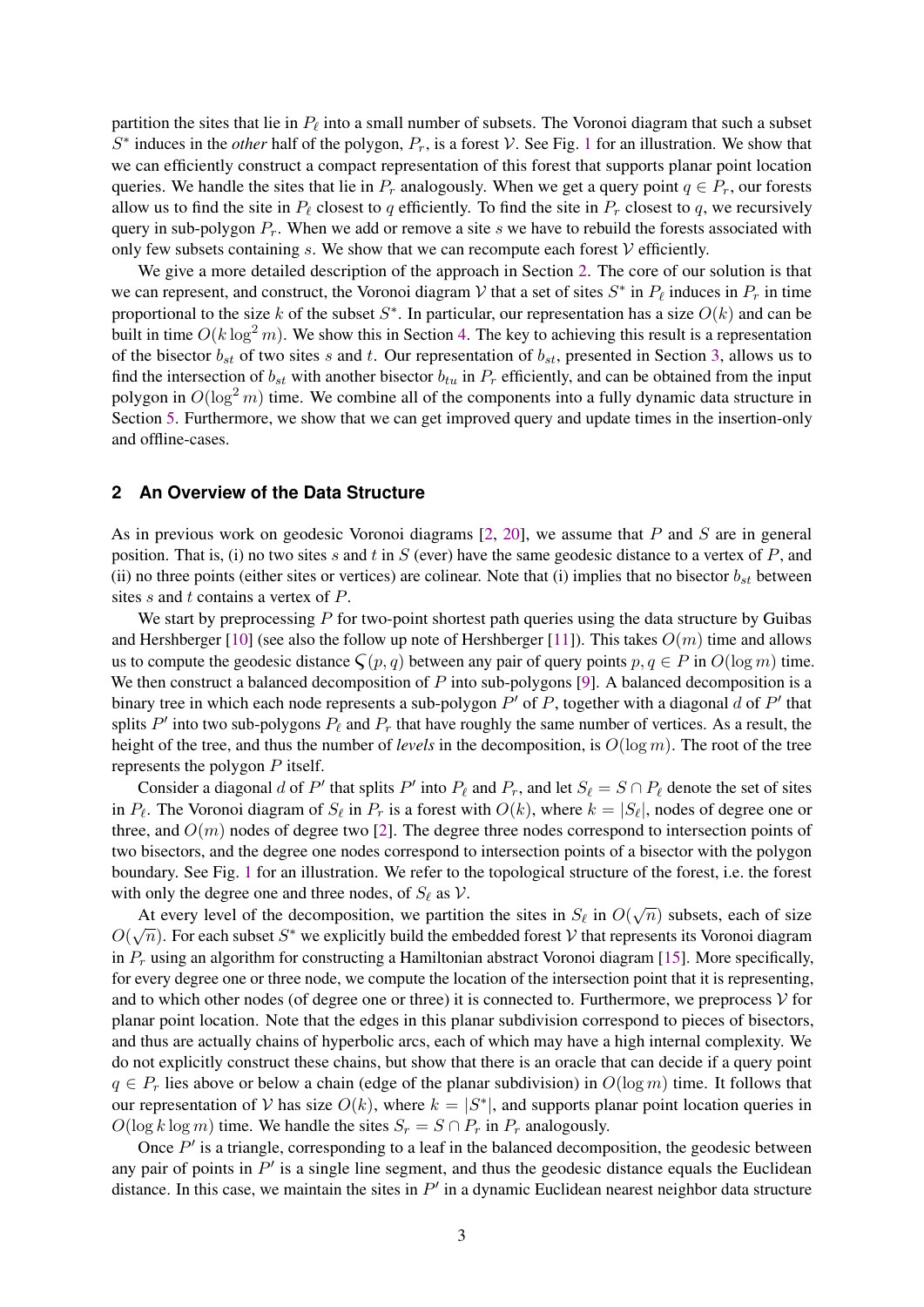partition the sites that lie in  $P_\ell$  into a small number of subsets. The Voronoi diagram that such a subset  $S^*$  induces in the *other* half of the polygon,  $P_r$ , is a forest V. See Fig. [1](#page-2-1) for an illustration. We show that we can efficiently construct a compact representation of this forest that supports planar point location queries. We handle the sites that lie in  $P_r$  analogously. When we get a query point  $q \in P_r$ , our forests allow us to find the site in  $P_\ell$  closest to q efficiently. To find the site in  $P_r$  closest to q, we recursively query in sub-polygon  $P_r$ . When we add or remove a site s we have to rebuild the forests associated with only few subsets containing  $s$ . We show that we can recompute each forest  $V$  efficiently.

We give a more detailed description of the approach in Section [2.](#page-3-0) The core of our solution is that we can represent, and construct, the Voronoi diagram  $\mathcal V$  that a set of sites  $S^*$  in  $P_\ell$  induces in  $P_r$  in time proportional to the size k of the subset  $S^*$ . In particular, our representation has a size  $O(k)$  and can be built in time  $O(k \log^2 m)$ . We show this in Section [4.](#page-10-0) The key to achieving this result is a representation of the bisector  $b_{st}$  of two sites s and t. Our representation of  $b_{st}$ , presented in Section [3,](#page-4-0) allows us to find the intersection of  $b_{st}$  with another bisector  $b_{tu}$  in  $P_r$  efficiently, and can be obtained from the input polygon in  $O(\log^2 m)$  time. We combine all of the components into a fully dynamic data structure in Section [5.](#page-14-0) Furthermore, we show that we can get improved query and update times in the insertion-only and offline-cases.

#### <span id="page-3-0"></span>**2 An Overview of the Data Structure**

As in previous work on geodesic Voronoi diagrams  $[2, 20]$  $[2, 20]$  $[2, 20]$ , we assume that P and S are in general position. That is, (i) no two sites s and t in S (ever) have the same geodesic distance to a vertex of  $P$ , and (ii) no three points (either sites or vertices) are colinear. Note that (i) implies that no bisector  $b_{st}$  between sites s and t contains a vertex of P.

We start by preprocessing  $P$  for two-point shortest path queries using the data structure by Guibas and Hershberger [\[10\]](#page-15-7) (see also the follow up note of Hershberger [\[11\]](#page-15-8)). This takes  $O(m)$  time and allows us to compute the geodesic distance  $\zeta(p, q)$  between any pair of query points  $p, q \in P$  in  $O(\log m)$  time. We then construct a balanced decomposition of  $P$  into sub-polygons [\[9\]](#page-15-9). A balanced decomposition is a binary tree in which each node represents a sub-polygon  $P'$  of P, together with a diagonal d of  $P'$  that splits  $P'$  into two sub-polygons  $P_\ell$  and  $P_r$  that have roughly the same number of vertices. As a result, the height of the tree, and thus the number of *levels* in the decomposition, is  $O(\log m)$ . The root of the tree represents the polygon P itself.

Consider a diagonal d of P' that splits P' into  $P_\ell$  and  $P_r$ , and let  $S_\ell = S \cap P_\ell$  denote the set of sites in  $P_\ell$ . The Voronoi diagram of  $S_\ell$  in  $P_r$  is a forest with  $O(k)$ , where  $k = |S_\ell|$ , nodes of degree one or three, and  $O(m)$  nodes of degree two [\[2\]](#page-15-2). The degree three nodes correspond to intersection points of two bisectors, and the degree one nodes correspond to intersection points of a bisector with the polygon boundary. See Fig. [1](#page-2-1) for an illustration. We refer to the topological structure of the forest, i.e. the forest with only the degree one and three nodes, of  $S_\ell$  as  $\mathcal V$ .

At every level of the decomposition, we partition the sites in  $S_{\ell}$  in  $O(\sqrt{n})$  subsets, each of size  $O(\sqrt{n})$ . For each subset S<sup>\*</sup> we explicitly build the embedded forest V that represents its Voronoi diagram in  $P_r$  using an algorithm for constructing a Hamiltonian abstract Voronoi diagram [\[15\]](#page-16-5). More specifically, for every degree one or three node, we compute the location of the intersection point that it is representing, and to which other nodes (of degree one or three) it is connected to. Furthermore, we preprocess  $V$  for planar point location. Note that the edges in this planar subdivision correspond to pieces of bisectors, and thus are actually chains of hyperbolic arcs, each of which may have a high internal complexity. We do not explicitly construct these chains, but show that there is an oracle that can decide if a query point  $q \in P_r$  lies above or below a chain (edge of the planar subdivision) in  $O(\log m)$  time. It follows that our representation of V has size  $O(k)$ , where  $k = |S^*|$ , and supports planar point location queries in  $O(\log k \log m)$  time. We handle the sites  $S_r = S \cap P_r$  in  $P_r$  analogously.

Once  $P'$  is a triangle, corresponding to a leaf in the balanced decomposition, the geodesic between any pair of points in  $P'$  is a single line segment, and thus the geodesic distance equals the Euclidean distance. In this case, we maintain the sites in  $P'$  in a dynamic Euclidean nearest neighbor data structure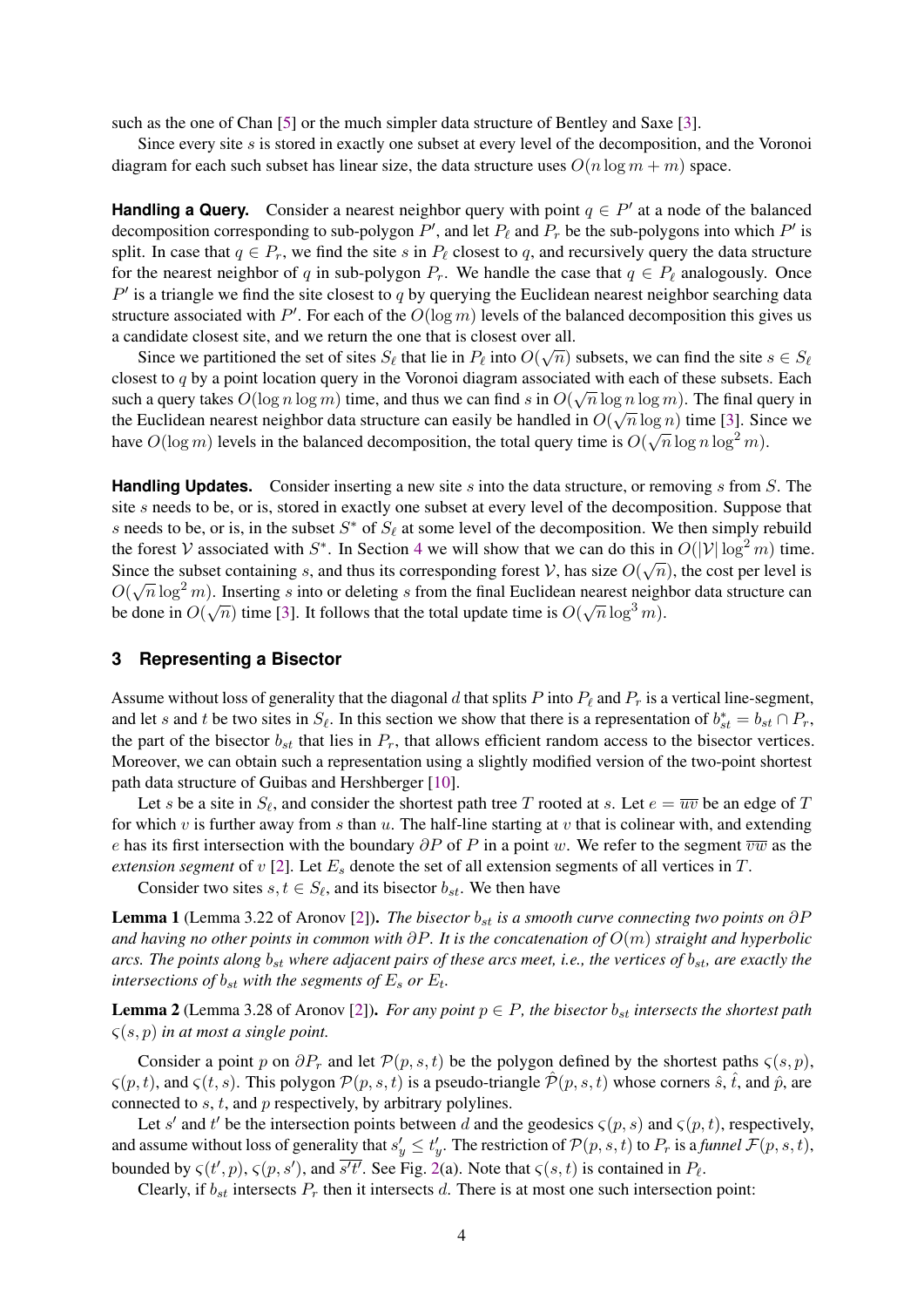such as the one of Chan [\[5\]](#page-15-6) or the much simpler data structure of Bentley and Saxe [\[3\]](#page-15-3).

Since every site s is stored in exactly one subset at every level of the decomposition, and the Voronoi diagram for each such subset has linear size, the data structure uses  $O(n \log m + m)$  space.

**Handling a Query.** Consider a nearest neighbor query with point  $q \in P'$  at a node of the balanced decomposition corresponding to sub-polygon  $P'$ , and let  $P_\ell$  and  $P_r$  be the sub-polygons into which  $P'$  is split. In case that  $q \in P_r$ , we find the site s in  $P_\ell$  closest to q, and recursively query the data structure for the nearest neighbor of q in sub-polygon  $P_r$ . We handle the case that  $q \in P_\ell$  analogously. Once  $P'$  is a triangle we find the site closest to q by querying the Euclidean nearest neighbor searching data structure associated with P'. For each of the  $O(\log m)$  levels of the balanced decomposition this gives us a candidate closest site, and we return the one that is closest over all.

Since we partitioned the set of sites  $S_\ell$  that lie in  $P_\ell$  into  $O(\sqrt{n})$  subsets, we can find the site  $s \in S_\ell$ closest to  $q$  by a point location query in the Voronoi diagram associated with each of these subsets. Each such a query takes  $O(\log n \log m)$  time, and thus we can find s in  $O(\sqrt{n} \log n \log m)$ . The final query in the Euclidean nearest neighbor data structure can easily be handled in  $O(\sqrt{n}\log n)$  time [\[3\]](#page-15-3). Since we have  $O(\log m)$  levels in the balanced decomposition, the total query time is  $O(\sqrt{n}\log n\log^2 m)$ .

**Handling Updates.** Consider inserting a new site s into the data structure, or removing s from S. The site s needs to be, or is, stored in exactly one subset at every level of the decomposition. Suppose that s needs to be, or is, in the subset  $S^*$  of  $S_\ell$  at some level of the decomposition. We then simply rebuild the forest V associated with S<sup>\*</sup>. In Section [4](#page-10-0) we will show that we can do this in  $O(|V| \log^2 m)$  time. Since the subset containing s, and thus its corresponding forest V, has size  $O(\sqrt{n})$ , the cost per level is  $O(\sqrt{n}\log^2 m)$ . Inserting s into or deleting s from the final Euclidean nearest neighbor data structure can be done in  $O(\sqrt{n})$  time [\[3\]](#page-15-3). It follows that the total update time is  $O(\sqrt{n}\log^3 m)$ .

## <span id="page-4-0"></span>**3 Representing a Bisector**

Assume without loss of generality that the diagonal d that splits P into  $P_\ell$  and  $P_r$  is a vertical line-segment, and let s and t be two sites in  $S_\ell$ . In this section we show that there is a representation of  $b_{st}^* = b_{st} \cap P_r$ , the part of the bisector  $b_{st}$  that lies in  $P_r$ , that allows efficient random access to the bisector vertices. Moreover, we can obtain such a representation using a slightly modified version of the two-point shortest path data structure of Guibas and Hershberger [\[10\]](#page-15-7).

Let s be a site in  $S_\ell$ , and consider the shortest path tree T rooted at s. Let  $e = \overline{uv}$  be an edge of T for which v is further away from s than  $u$ . The half-line starting at v that is colinear with, and extending e has its first intersection with the boundary  $\partial P$  of P in a point w. We refer to the segment  $\overline{vw}$  as the *extension segment* of  $v$  [\[2\]](#page-15-2). Let  $E_s$  denote the set of all extension segments of all vertices in  $T$ .

Consider two sites  $s, t \in S_{\ell}$ , and its bisector  $b_{st}$ . We then have

<span id="page-4-1"></span>**Lemma 1** (Lemma 3.22 of Aronov [\[2\]](#page-15-2)). *The bisector*  $b_{st}$  *is a smooth curve connecting two points on*  $\partial P$ *and having no other points in common with* ∂P*. It is the concatenation of* O(m) *straight and hyperbolic arcs. The points along*  $b_{st}$  *where adjacent pairs of these arcs meet, i.e., the vertices of*  $b_{st}$ *, are exactly the intersections of*  $b_{st}$  *with the segments of*  $E_s$  *or*  $E_t$ *.* 

<span id="page-4-2"></span>**Lemma 2** (Lemma 3.28 of Aronov [\[2\]](#page-15-2)). *For any point*  $p \in P$ , the bisector  $b_{st}$  intersects the shortest path ς(s, p) *in at most a single point.*

Consider a point p on  $\partial P_r$  and let  $\mathcal{P}(p, s, t)$  be the polygon defined by the shortest paths  $\zeta(s, p)$ ,  $\zeta(p, t)$ , and  $\zeta(t, s)$ . This polygon  $\mathcal{P}(p, s, t)$  is a pseudo-triangle  $\hat{\mathcal{P}}(p, s, t)$  whose corners  $\hat{s}$ ,  $\hat{t}$ , and  $\hat{p}$ , are connected to  $s, t$ , and  $p$  respectively, by arbitrary polylines.

Let s' and t' be the intersection points between d and the geodesics  $\varsigma(p, s)$  and  $\varsigma(p, t)$ , respectively, and assume without loss of generality that  $s'_y \le t'_y$ . The restriction of  $\mathcal{P}(p, s, t)$  to  $P_r$  is a *funnel*  $\mathcal{F}(p, s, t)$ , bounded by  $\zeta(t',p)$ ,  $\zeta(p, s')$ , and  $\overline{s't'}$ . See Fig. [2\(](#page-5-0)a). Note that  $\zeta(s, t)$  is contained in  $P_{\ell}$ .

Clearly, if  $b_{st}$  intersects  $P_r$  then it intersects d. There is at most one such intersection point: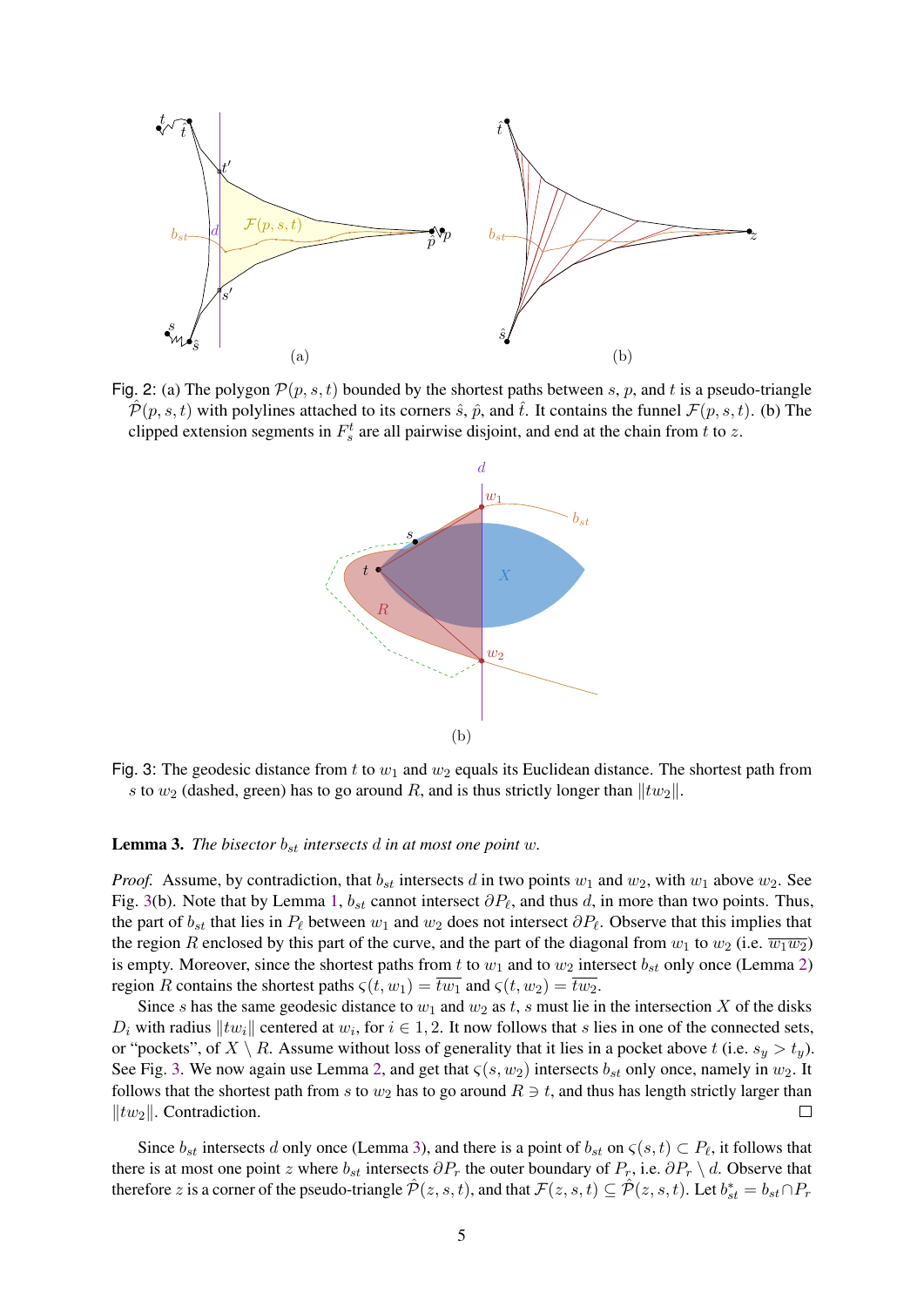<span id="page-5-0"></span>

<span id="page-5-1"></span>Fig. 2: (a) The polygon  $\mathcal{P}(p, s, t)$  bounded by the shortest paths between s, p, and t is a pseudo-triangle  $P(p, s, t)$  with polylines attached to its corners  $\hat{s}$ ,  $\hat{p}$ , and  $\hat{t}$ . It contains the funnel  $\mathcal{F}(p, s, t)$ . (b) The clipped extension segments in  $F_s^t$  are all pairwise disjoint, and end at the chain from t to z.



Fig. 3: The geodesic distance from t to  $w_1$  and  $w_2$  equals its Euclidean distance. The shortest path from s to  $w_2$  (dashed, green) has to go around R, and is thus strictly longer than  $||tw_2||$ .

#### <span id="page-5-2"></span>**Lemma 3.** *The bisector*  $b_{st}$  *intersects*  $d$  *in at most one point*  $w$ *.*

*Proof.* Assume, by contradiction, that  $b_{st}$  intersects d in two points  $w_1$  and  $w_2$ , with  $w_1$  above  $w_2$ . See Fig. [3\(](#page-5-1)b). Note that by Lemma [1,](#page-4-1)  $b_{st}$  cannot intersect  $\partial P_{\ell}$ , and thus d, in more than two points. Thus, the part of  $b_{st}$  that lies in  $P_\ell$  between  $w_1$  and  $w_2$  does not intersect  $\partial P_\ell$ . Observe that this implies that the region R enclosed by this part of the curve, and the part of the diagonal from  $w_1$  to  $w_2$  (i.e.  $\overline{w_1w_2}$ ) is empty. Moreover, since the shortest paths from t to  $w_1$  and to  $w_2$  intersect  $b_{st}$  only once (Lemma [2\)](#page-4-2) region R contains the shortest paths  $\zeta(t, w_1) = \overline{tw_1}$  and  $\zeta(t, w_2) = \overline{tw_2}$ .

Since s has the same geodesic distance to  $w_1$  and  $w_2$  as t, s must lie in the intersection X of the disks  $D_i$  with radius  $||tw_i||$  centered at  $w_i$ , for  $i \in 1, 2$ . It now follows that s lies in one of the connected sets, or "pockets", of  $X \setminus R$ . Assume without loss of generality that it lies in a pocket above t (i.e.  $s_y > t_y$ ). See Fig. [3.](#page-5-1) We now again use Lemma [2,](#page-4-2) and get that  $\varsigma(s, w_2)$  intersects  $b_{st}$  only once, namely in  $w_2$ . It follows that the shortest path from s to  $w_2$  has to go around  $R \ni t$ , and thus has length strictly larger than  $||tw_2||$ . Contradiction.  $\Vert tw_2 \Vert$ . Contradiction.

Since  $b_{st}$  intersects d only once (Lemma [3\)](#page-5-2), and there is a point of  $b_{st}$  on  $\zeta(s,t) \subset P_{\ell}$ , it follows that there is at most one point z where  $b_{st}$  intersects  $\partial P_r$  the outer boundary of  $P_r$ , i.e.  $\partial P_r \setminus d$ . Observe that therefore z is a corner of the pseudo-triangle  $\hat{P}(z, s, t)$ , and that  $\mathcal{F}(z, s, t) \subseteq \hat{P}(z, s, t)$ . Let  $b_{st}^* = b_{st} \cap P_r$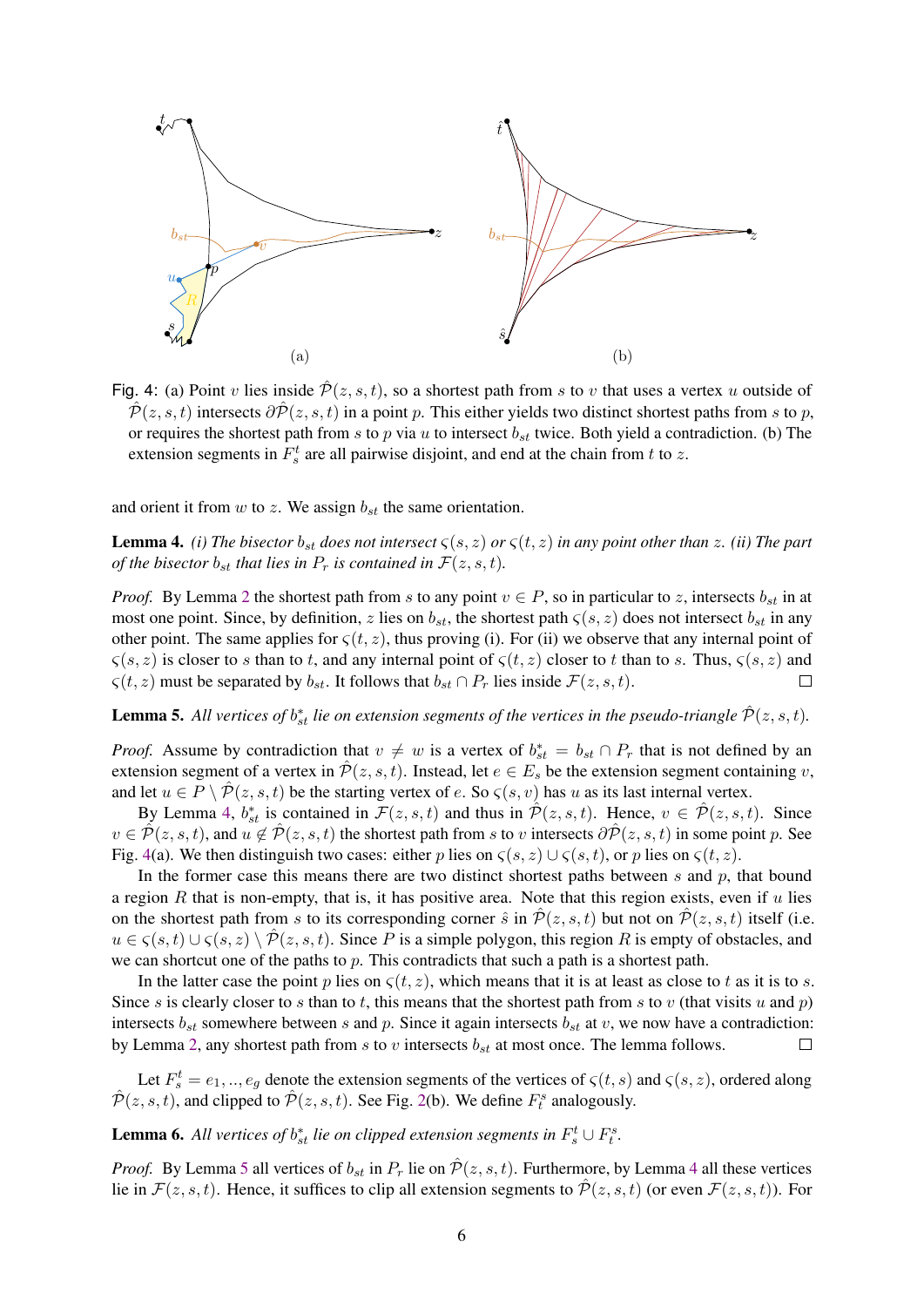<span id="page-6-1"></span>

Fig. 4: (a) Point v lies inside  $\hat{\mathcal{P}}(z, s, t)$ , so a shortest path from s to v that uses a vertex u outside of  $\mathcal{P}(z, s, t)$  intersects  $\partial \mathcal{P}(z, s, t)$  in a point p. This either yields two distinct shortest paths from s to p, or requires the shortest path from s to p via u to intersect  $b_{st}$  twice. Both yield a contradiction. (b) The extension segments in  $F_s^t$  are all pairwise disjoint, and end at the chain from t to z.

and orient it from  $w$  to  $z$ . We assign  $b_{st}$  the same orientation.

<span id="page-6-0"></span>**Lemma 4.** *(i) The bisector*  $b_{st}$  *does not intersect*  $\zeta(s, z)$  *or*  $\zeta(t, z)$  *in any point other than* z. *(ii) The part of the bisector*  $b_{st}$  *that lies in*  $P_r$  *is contained in*  $\mathcal{F}(z, s, t)$ *.* 

*Proof.* By Lemma [2](#page-4-2) the shortest path from s to any point  $v \in P$ , so in particular to z, intersects  $b_{st}$  in at most one point. Since, by definition, z lies on  $b_{st}$ , the shortest path  $\zeta(s, z)$  does not intersect  $b_{st}$  in any other point. The same applies for  $\zeta(t, z)$ , thus proving (i). For (ii) we observe that any internal point of  $\zeta(s, z)$  is closer to s than to t, and any internal point of  $\zeta(t, z)$  closer to t than to s. Thus,  $\zeta(s, z)$  and  $\varsigma(t, z)$  must be separated by  $b_{st}$ . It follows that  $b_{st} \cap P_r$  lies inside  $\mathcal{F}(z, s, t)$ .  $\Box$ 

<span id="page-6-2"></span>**Lemma 5.** All vertices of  $b_{st}^*$  lie on extension segments of the vertices in the pseudo-triangle  $\hat{\mathcal{P}}(z, s, t)$ .

*Proof.* Assume by contradiction that  $v \neq w$  is a vertex of  $b_{st}^* = b_{st} \cap P_r$  that is not defined by an extension segment of a vertex in  $\hat{\mathcal{P}}(z, s, t)$ . Instead, let  $e \in E_s$  be the extension segment containing v, and let  $u \in P \setminus \hat{P}(z, s, t)$  be the starting vertex of e. So  $\zeta(s, v)$  has u as its last internal vertex.

By Lemma [4,](#page-6-0)  $b_{st}^*$  is contained in  $\mathcal{F}(z, s, t)$  and thus in  $\hat{\mathcal{P}}(z, s, t)$ . Hence,  $v \in \hat{\mathcal{P}}(z, s, t)$ . Since  $v \in \mathcal{P}(z, s, t)$ , and  $u \notin \mathcal{P}(z, s, t)$  the shortest path from s to v intersects  $\partial \mathcal{P}(z, s, t)$  in some point p. See Fig. [4\(](#page-6-1)a). We then distinguish two cases: either p lies on  $\zeta(s, z) \cup \zeta(s, t)$ , or p lies on  $\zeta(t, z)$ .

In the former case this means there are two distinct shortest paths between  $s$  and  $p$ , that bound a region  $R$  that is non-empty, that is, it has positive area. Note that this region exists, even if  $u$  lies on the shortest path from s to its corresponding corner  $\hat{s}$  in  $\hat{P}(z, s, t)$  but not on  $\hat{P}(z, s, t)$  itself (i.e.  $u \in \zeta(s,t) \cup \zeta(s,z) \setminus \mathcal{P}(z,s,t)$ . Since P is a simple polygon, this region R is empty of obstacles, and we can shortcut one of the paths to  $p$ . This contradicts that such a path is a shortest path.

In the latter case the point p lies on  $\zeta(t, z)$ , which means that it is at least as close to t as it is to s. Since s is clearly closer to s than to t, this means that the shortest path from s to v (that visits u and p) intersects  $b_{st}$  somewhere between s and p. Since it again intersects  $b_{st}$  at v, we now have a contradiction: by Lemma [2,](#page-4-2) any shortest path from s to v intersects  $b_{st}$  at most once. The lemma follows.  $\Box$ 

Let  $F_s^t = e_1, ..., e_g$  denote the extension segments of the vertices of  $\zeta(t, s)$  and  $\zeta(s, z)$ , ordered along  $\hat{\mathcal{P}}(z, s, t)$ , and clipped to  $\hat{\mathcal{P}}(z, s, t)$ . See Fig. [2\(](#page-5-0)b). We define  $F_t^s$  analogously.

# <span id="page-6-3"></span>**Lemma 6.** All vertices of  $b_{st}^*$  lie on clipped extension segments in  $F_s^t \cup F_t^s$ .

*Proof.* By Lemma [5](#page-6-2) all vertices of  $b_{st}$  in  $P_r$  lie on  $\hat{\mathcal{P}}(z, s, t)$ . Furthermore, by Lemma [4](#page-6-0) all these vertices lie in  $\mathcal{F}(z, s, t)$ . Hence, it suffices to clip all extension segments to  $\hat{\mathcal{P}}(z, s, t)$  (or even  $\mathcal{F}(z, s, t)$ ). For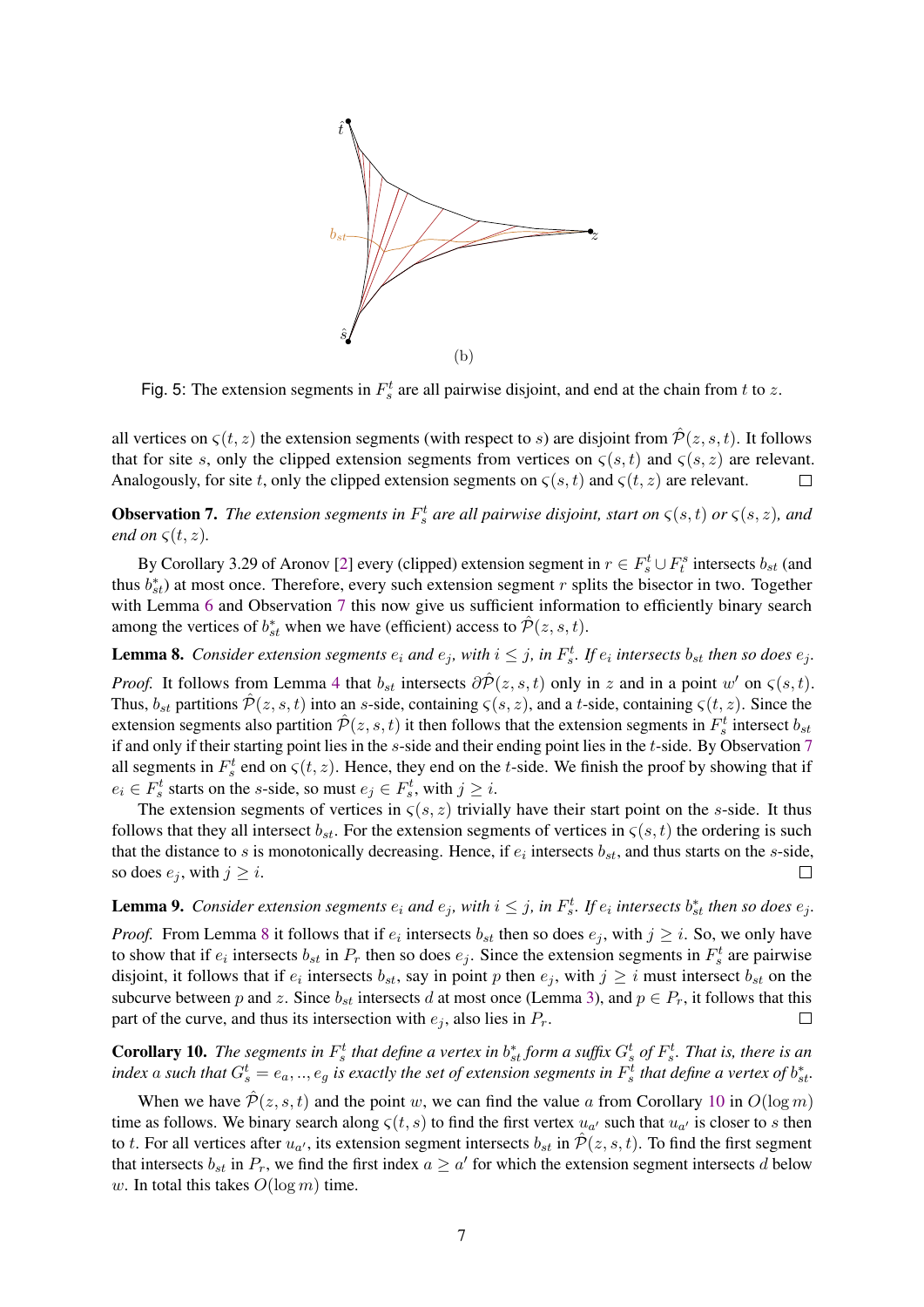

Fig. 5: The extension segments in  $F_s^t$  are all pairwise disjoint, and end at the chain from t to z.

all vertices on  $\zeta(t, z)$  the extension segments (with respect to s) are disjoint from  $\hat{\mathcal{P}}(z, s, t)$ . It follows that for site s, only the clipped extension segments from vertices on  $\zeta(s, t)$  and  $\zeta(s, z)$  are relevant. Analogously, for site t, only the clipped extension segments on  $\zeta(s,t)$  and  $\zeta(t,z)$  are relevant.  $\Box$ 

<span id="page-7-0"></span>**Observation 7.** The extension segments in  $F_s^t$  are all pairwise disjoint, start on  $\zeta(s,t)$  or  $\zeta(s,z)$ , and *end on*  $\zeta(t, z)$ *.* 

By Corollary 3.29 of Aronov [\[2\]](#page-15-2) every (clipped) extension segment in  $r \in F_s^t \cup F_t^s$  intersects  $b_{st}$  (and thus  $b_{st}^*$ ) at most once. Therefore, every such extension segment r splits the bisector in two. Together with Lemma [6](#page-6-3) and Observation [7](#page-7-0) this now give us sufficient information to efficiently binary search among the vertices of  $b_{st}^*$  when we have (efficient) access to  $\hat{\mathcal{P}}(z, s, t)$ .

<span id="page-7-1"></span>**Lemma 8.** Consider extension segments  $e_i$  and  $e_j$ , with  $i \leq j$ , in  $F_s^t$ . If  $e_i$  intersects  $b_{st}$  then so does  $e_j$ .

*Proof.* It follows from Lemma [4](#page-6-0) that  $b_{st}$  intersects  $\partial \hat{\mathcal{P}}(z, s, t)$  only in z and in a point w' on  $\zeta(s, t)$ . Thus,  $b_{st}$  partitions  $\hat{\mathcal{P}}(z, s, t)$  into an s-side, containing  $\zeta(s, z)$ , and a t-side, containing  $\zeta(t, z)$ . Since the extension segments also partition  $\hat{\mathcal{P}}(z, s, t)$  it then follows that the extension segments in  $F_s^t$  intersect  $b_{st}$ if and only if their starting point lies in the s-side and their ending point lies in the t-side. By Observation [7](#page-7-0) all segments in  $F_s^t$  end on  $\zeta(t, z)$ . Hence, they end on the t-side. We finish the proof by showing that if  $e_i \in F_s^t$  starts on the *s*-side, so must  $e_j \in F_s^t$ , with  $j \geq i$ .

The extension segments of vertices in  $\zeta(s, z)$  trivially have their start point on the s-side. It thus follows that they all intersect  $b_{st}$ . For the extension segments of vertices in  $\zeta(s, t)$  the ordering is such that the distance to s is monotonically decreasing. Hence, if  $e_i$  intersects  $b_{st}$ , and thus starts on the s-side, so does  $e_j$ , with  $j \geq i$ .  $\Box$ 

**Lemma 9.** Consider extension segments  $e_i$  and  $e_j$ , with  $i \leq j$ , in  $F_s^t$ . If  $e_i$  intersects  $b_{st}^*$  then so does  $e_j$ .

*Proof.* From Lemma [8](#page-7-1) it follows that if  $e_i$  intersects  $b_{st}$  then so does  $e_j$ , with  $j \geq i$ . So, we only have to show that if  $e_i$  intersects  $b_{st}$  in  $P_r$  then so does  $e_j$ . Since the extension segments in  $F_s^t$  are pairwise disjoint, it follows that if  $e_i$  intersects  $b_{st}$ , say in point p then  $e_j$ , with  $j \geq i$  must intersect  $b_{st}$  on the subcurve between p and z. Since  $b_{st}$  intersects d at most once (Lemma [3\)](#page-5-2), and  $p \in P_r$ , it follows that this part of the curve, and thus its intersection with  $e_i$ , also lies in  $P_r$ .  $\Box$ 

<span id="page-7-2"></span>**Corollary 10.** The segments in  $F_s^t$  that define a vertex in  $b_{st}^*$  form a suffix  $G_s^t$  of  $F_s^t$ . That is, there is an index a such that  $G_s^t = e_a, ..., e_g$  is exactly the set of extension segments in  $F_s^t$  that define a vertex of  $b_{st}^t$ .

When we have  $\hat{\mathcal{P}}(z, s, t)$  and the point w, we can find the value a from Corollary [10](#page-7-2) in  $O(\log m)$ time as follows. We binary search along  $\varsigma(t,s)$  to find the first vertex  $u_{\alpha'}$  such that  $u_{\alpha'}$  is closer to s then to t. For all vertices after  $u_{\alpha'}$ , its extension segment intersects  $b_{st}$  in  $\hat{\mathcal{P}}(z,s,t)$ . To find the first segment that intersects  $b_{st}$  in  $P_r$ , we find the first index  $a \ge a'$  for which the extension segment intersects d below w. In total this takes  $O(\log m)$  time.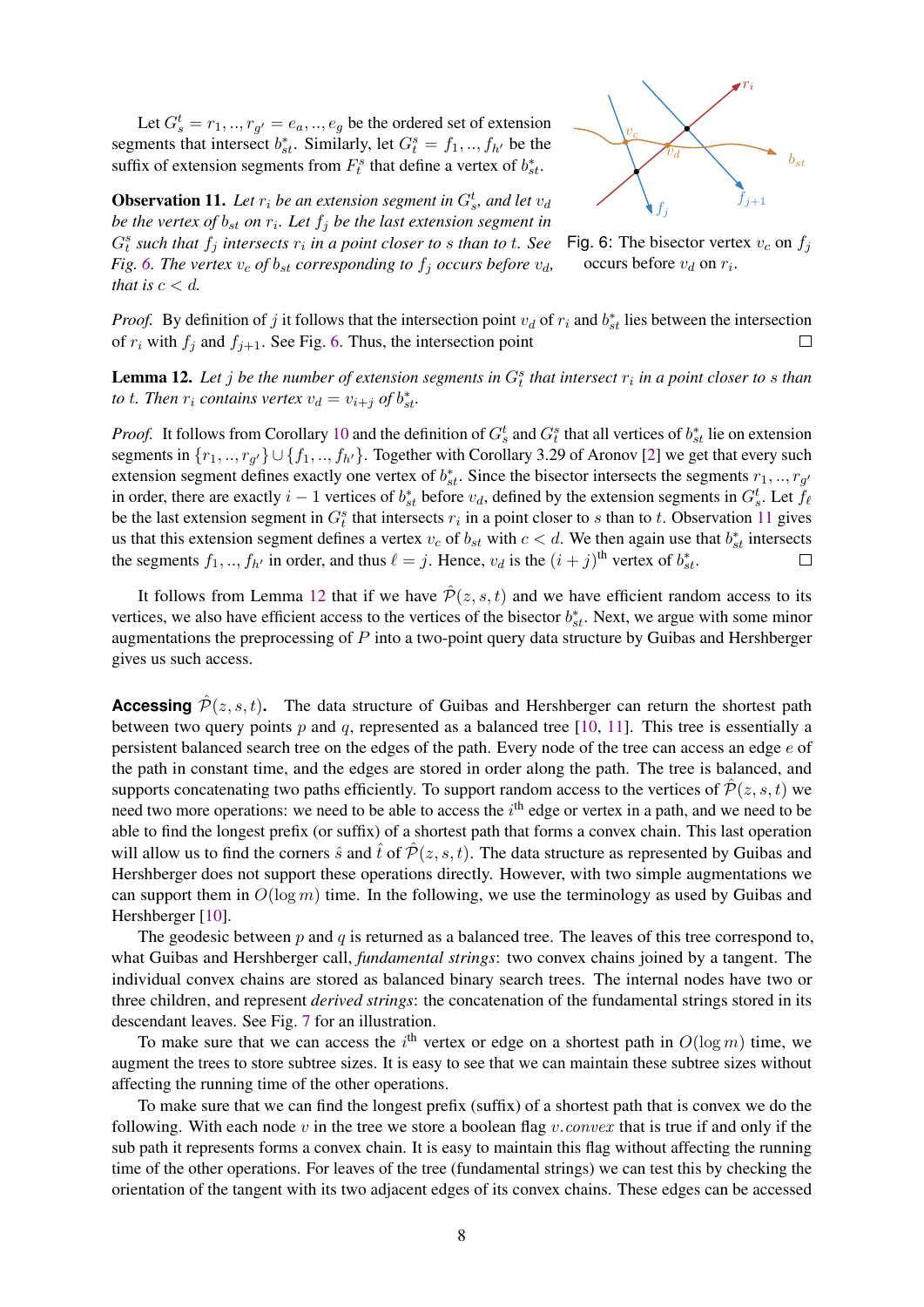Let  $G_s^t = r_1, ..., r_{g'} = e_a, ..., e_g$  be the ordered set of extension segments that intersect  $b_{st}^*$ . Similarly, let  $G_t^s = f_1, ..., f_{h'}$  be the suffix of extension segments from  $F_t^s$  that define a vertex of  $b_{st}^*$ .

<span id="page-8-0"></span>

<span id="page-8-1"></span>**Observation 11.** Let  $r_i$  be an extension segment in  $G_s^t$ , and let  $v_d$ *be the vertex of*  $b_{st}$  *on*  $r_i$ *. Let*  $f_j$  *be the last extension segment in*  $G_t^s$  such that  $f_j$  intersects  $r_i$  in a point closer to  $s$  than to  $t$ . See *Fig.* [6.](#page-8-0) The vertex  $v_c$  of  $b_{st}$  corresponding to  $f_i$  occurs before  $v_d$ , *that is*  $c < d$ *.* 



*Proof.* By definition of j it follows that the intersection point  $v_d$  of  $r_i$  and  $b_{st}^*$  lies between the intersection of  $r_i$  with  $f_j$  and  $f_{j+1}$ . See Fig. [6.](#page-8-0) Thus, the intersection point

<span id="page-8-2"></span>**Lemma 12.** Let  $j$  be the number of extension segments in  $G_t^s$  that intersect  $r_i$  in a point closer to  $s$  than *to t. Then*  $r_i$  *contains vertex*  $v_d = v_{i+j}$  *of*  $b_{st}^*$ *.* 

*Proof.* It follows from Corollary [10](#page-7-2) and the definition of  $G_s^t$  and  $G_t^s$  that all vertices of  $b_{st}^*$  lie on extension segments in  $\{r_1, ..., r_{g'}\} \cup \{f_1, ..., f_{h'}\}$ . Together with Corollary 3.29 of Aronov [\[2\]](#page-15-2) we get that every such extension segment defines exactly one vertex of  $b_{st}^*$ . Since the bisector intersects the segments  $r_1, ..., r_{g'}$ in order, there are exactly  $i-1$  vertices of  $b_{st}^*$  before  $v_d$ , defined by the extension segments in  $G_s^t$ . Let  $f_\ell$ be the last extension segment in  $G_t^s$  that intersects  $r_i$  in a point closer to s than to t. Observation [11](#page-8-1) gives us that this extension segment defines a vertex  $v_c$  of  $b_{st}$  with  $c < d$ . We then again use that  $b_{st}^*$  intersects the segments  $f_1, ..., f_{h'}$  in order, and thus  $\ell = j$ . Hence,  $v_d$  is the  $(i + j)$ <sup>th</sup> vertex of  $b_{st}^*$ .  $\Box$ 

It follows from Lemma [12](#page-8-2) that if we have  $\hat{\mathcal{P}}(z, s, t)$  and we have efficient random access to its vertices, we also have efficient access to the vertices of the bisector  $b_{st}^*$ . Next, we argue with some minor augmentations the preprocessing of  $P$  into a two-point query data structure by Guibas and Hershberger gives us such access.

**Accessing**  $\hat{P}(z, s, t)$ . The data structure of Guibas and Hershberger can return the shortest path between two query points p and q, represented as a balanced tree [\[10,](#page-15-7) [11\]](#page-15-8). This tree is essentially a persistent balanced search tree on the edges of the path. Every node of the tree can access an edge e of the path in constant time, and the edges are stored in order along the path. The tree is balanced, and supports concatenating two paths efficiently. To support random access to the vertices of  $\hat{\mathcal{P}}(z, s, t)$  we need two more operations: we need to be able to access the  $i<sup>th</sup>$  edge or vertex in a path, and we need to be able to find the longest prefix (or suffix) of a shortest path that forms a convex chain. This last operation will allow us to find the corners  $\hat{s}$  and  $\hat{t}$  of  $\hat{\mathcal{P}}(z, s, t)$ . The data structure as represented by Guibas and Hershberger does not support these operations directly. However, with two simple augmentations we can support them in  $O(\log m)$  time. In the following, we use the terminology as used by Guibas and Hershberger [\[10\]](#page-15-7).

The geodesic between  $p$  and  $q$  is returned as a balanced tree. The leaves of this tree correspond to, what Guibas and Hershberger call, *fundamental strings*: two convex chains joined by a tangent. The individual convex chains are stored as balanced binary search trees. The internal nodes have two or three children, and represent *derived strings*: the concatenation of the fundamental strings stored in its descendant leaves. See Fig. [7](#page-9-0) for an illustration.

To make sure that we can access the i<sup>th</sup> vertex or edge on a shortest path in  $O(\log m)$  time, we augment the trees to store subtree sizes. It is easy to see that we can maintain these subtree sizes without affecting the running time of the other operations.

To make sure that we can find the longest prefix (suffix) of a shortest path that is convex we do the following. With each node v in the tree we store a boolean flag v.convex that is true if and only if the sub path it represents forms a convex chain. It is easy to maintain this flag without affecting the running time of the other operations. For leaves of the tree (fundamental strings) we can test this by checking the orientation of the tangent with its two adjacent edges of its convex chains. These edges can be accessed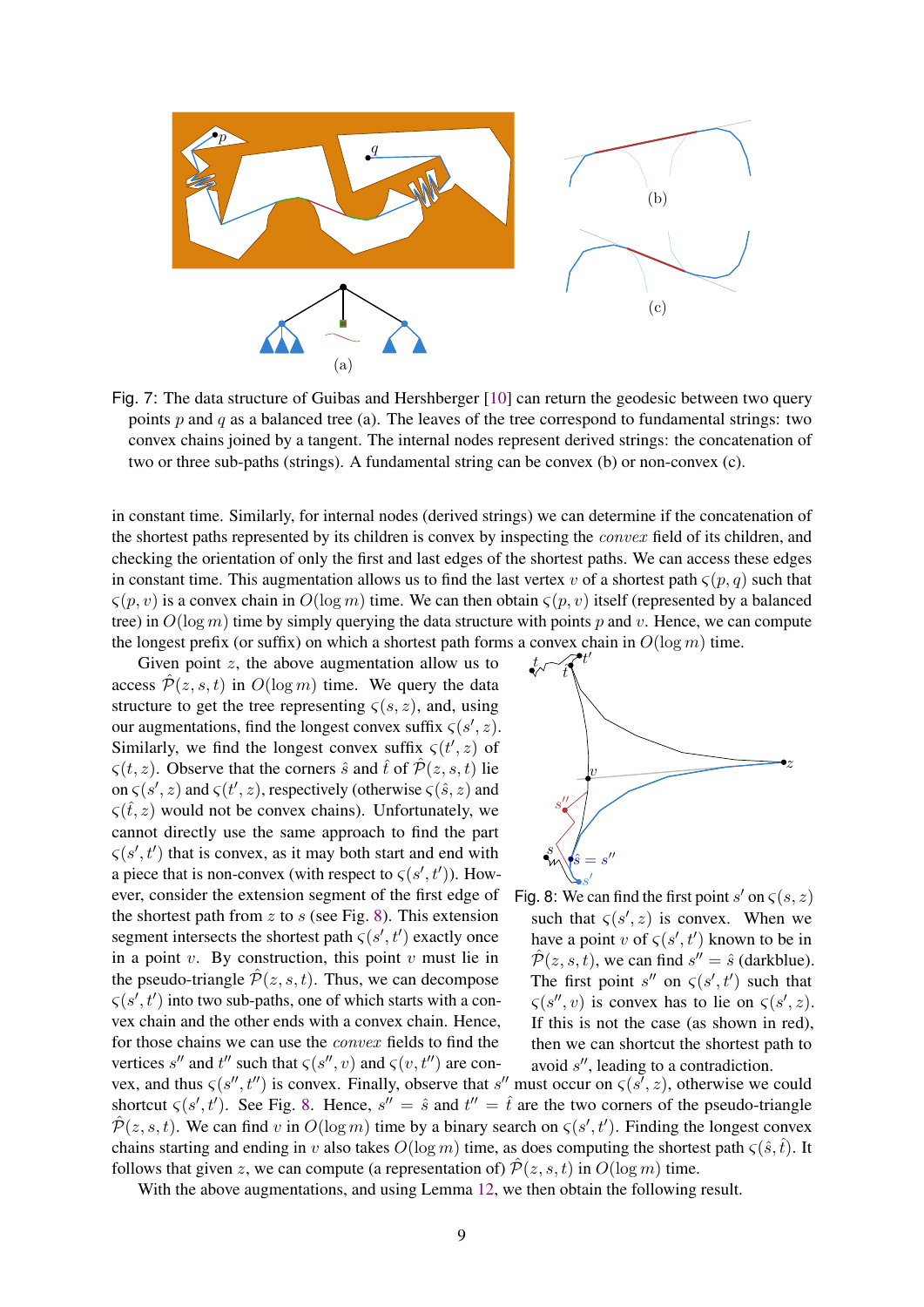<span id="page-9-0"></span>

Fig. 7: The data structure of Guibas and Hershberger [\[10\]](#page-15-7) can return the geodesic between two query points  $p$  and  $q$  as a balanced tree (a). The leaves of the tree correspond to fundamental strings: two convex chains joined by a tangent. The internal nodes represent derived strings: the concatenation of two or three sub-paths (strings). A fundamental string can be convex (b) or non-convex (c).

in constant time. Similarly, for internal nodes (derived strings) we can determine if the concatenation of the shortest paths represented by its children is convex by inspecting the *convex* field of its children, and checking the orientation of only the first and last edges of the shortest paths. We can access these edges in constant time. This augmentation allows us to find the last vertex v of a shortest path  $\zeta(p,q)$  such that  $\zeta(p, v)$  is a convex chain in  $O(\log m)$  time. We can then obtain  $\zeta(p, v)$  itself (represented by a balanced tree) in  $O(\log m)$  time by simply querying the data structure with points p and v. Hence, we can compute the longest prefix (or suffix) on which a shortest path forms a convex chain in  $O(\log m)$  time.

Given point  $z$ , the above augmentation allow us to access  $\hat{\mathcal{P}}(z, s, t)$  in  $O(\log m)$  time. We query the data structure to get the tree representing  $\zeta(s, z)$ , and, using our augmentations, find the longest convex suffix  $\zeta(s', z)$ . Similarly, we find the longest convex suffix  $\zeta(t', z)$  of  $\zeta(t, z)$ . Observe that the corners  $\hat{s}$  and  $\hat{t}$  of  $\hat{\mathcal{P}}(z, s, t)$  lie on  $\zeta(s', z)$  and  $\zeta(t', z)$ , respectively (otherwise  $\zeta(\hat{s}, z)$  and  $\zeta(\hat{t}, z)$  would not be convex chains). Unfortunately, we cannot directly use the same approach to find the part  $\varsigma(s', t')$  that is convex, as it may both start and end with a piece that is non-convex (with respect to  $\varsigma(s',t')$ ). However, consider the extension segment of the first edge of the shortest path from z to s (see Fig. [8\)](#page-9-1). This extension segment intersects the shortest path  $\zeta(s',t')$  exactly once in a point  $v$ . By construction, this point  $v$  must lie in the pseudo-triangle  $\hat{\mathcal{P}}(z, s, t)$ . Thus, we can decompose  $\varsigma(s', t')$  into two sub-paths, one of which starts with a convex chain and the other ends with a convex chain. Hence, for those chains we can use the convex fields to find the vertices s'' and t'' such that  $\varsigma(s'', v)$  and  $\varsigma(v, t'')$  are con-

<span id="page-9-1"></span>

Fig. 8: We can find the first point  $s'$  on  $\zeta(s, z)$ such that  $\zeta(s', z)$  is convex. When we have a point v of  $\zeta(s', t')$  known to be in  $\hat{\mathcal{P}}(z, s, t)$ , we can find  $s'' = \hat{s}$  (darkblue). The first point s'' on  $\zeta(s',t')$  such that  $\varsigma(s'',v)$  is convex has to lie on  $\varsigma(s',z)$ . If this is not the case (as shown in red), then we can shortcut the shortest path to avoid  $s''$ , leading to a contradiction.

vex, and thus  $\zeta(s'', t'')$  is convex. Finally, observe that s'' must occur on  $\zeta(s', z)$ , otherwise we could shortcut  $\zeta(s',t')$ . See Fig. [8.](#page-9-1) Hence,  $s'' = \hat{s}$  and  $t'' = \hat{t}$  are the two corners of the pseudo-triangle  $\hat{\mathcal{P}}(z,s,t)$ . We can find v in  $O(\log m)$  time by a binary search on  $\zeta(s',t')$ . Finding the longest convex chains starting and ending in v also takes  $O(\log m)$  time, as does computing the shortest path  $\zeta(\hat{s},\hat{t})$ . It follows that given z, we can compute (a representation of)  $\mathcal{P}(z, s, t)$  in  $O(\log m)$  time.

With the above augmentations, and using Lemma [12,](#page-8-2) we then obtain the following result.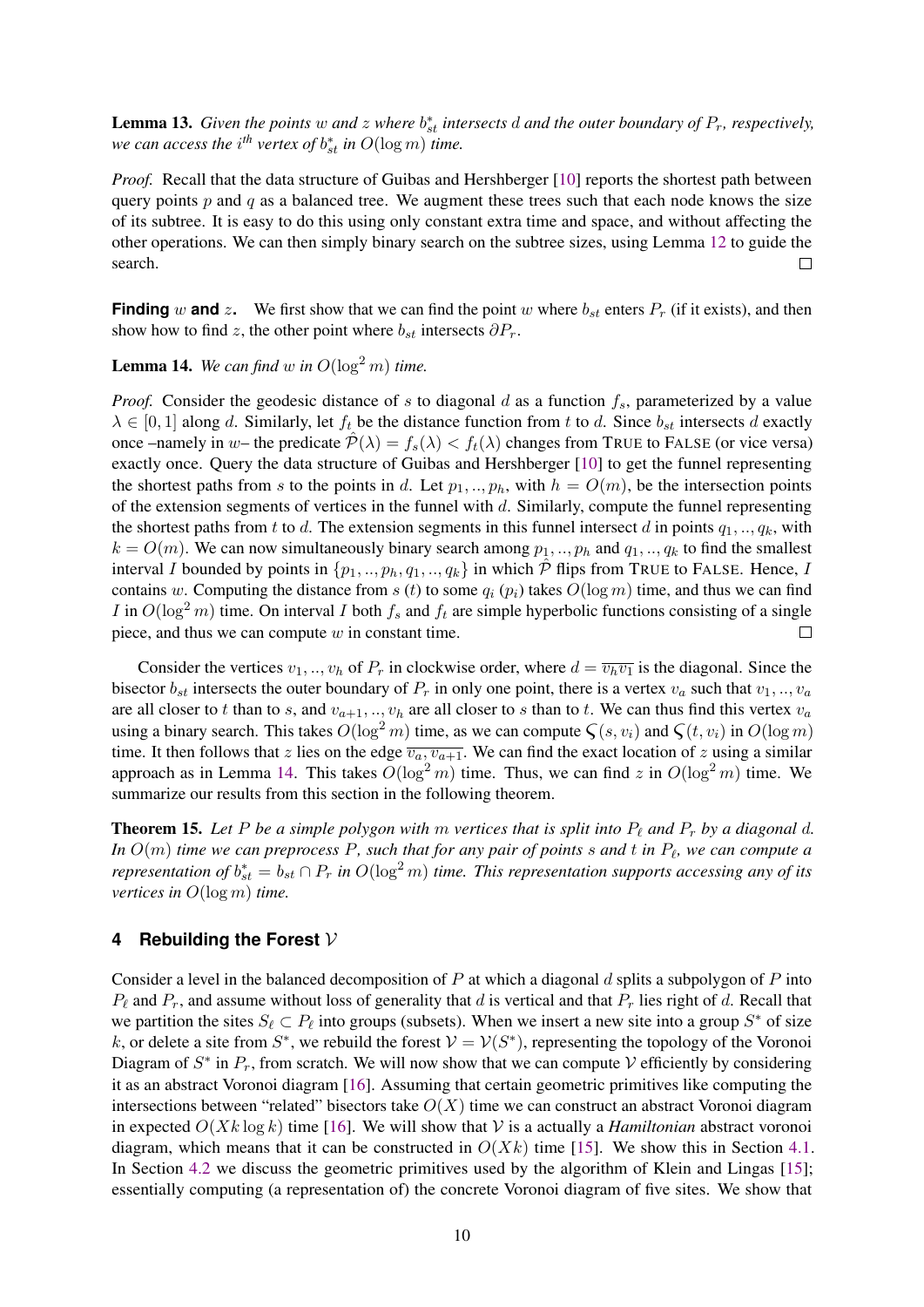<span id="page-10-2"></span>**Lemma 13.** Given the points w and z where  $b_{st}^*$  intersects d and the outer boundary of  $P_r$ , respectively, *we can access the i<sup>th</sup> vertex of*  $b_{st}^*$  *in*  $O(\log m)$  *time.* 

*Proof.* Recall that the data structure of Guibas and Hershberger [\[10\]](#page-15-7) reports the shortest path between query points  $p$  and  $q$  as a balanced tree. We augment these trees such that each node knows the size of its subtree. It is easy to do this using only constant extra time and space, and without affecting the other operations. We can then simply binary search on the subtree sizes, using Lemma [12](#page-8-2) to guide the search.  $\Box$ 

**Finding** w **and** z. We first show that we can find the point w where  $b_{st}$  enters  $P_r$  (if it exists), and then show how to find z, the other point where  $b_{st}$  intersects  $\partial P_r$ .

<span id="page-10-1"></span>**Lemma 14.** We can find w in  $O(\log^2 m)$  time.

*Proof.* Consider the geodesic distance of s to diagonal d as a function  $f_s$ , parameterized by a value  $\lambda \in [0, 1]$  along d. Similarly, let  $f_t$  be the distance function from t to d. Since  $b_{st}$  intersects d exactly once –namely in w– the predicate  $\hat{\mathcal{P}}(\lambda) = f_s(\lambda) < f_t(\lambda)$  changes from TRUE to FALSE (or vice versa) exactly once. Query the data structure of Guibas and Hershberger [\[10\]](#page-15-7) to get the funnel representing the shortest paths from s to the points in d. Let  $p_1, ..., p_h$ , with  $h = O(m)$ , be the intersection points of the extension segments of vertices in the funnel with d. Similarly, compute the funnel representing the shortest paths from t to d. The extension segments in this funnel intersect d in points  $q_1, \ldots, q_k$ , with  $k = O(m)$ . We can now simultaneously binary search among  $p_1, ..., p_h$  and  $q_1, ..., q_k$  to find the smallest interval I bounded by points in  $\{p_1, ..., p_h, q_1, ..., q_k\}$  in which  $\hat{\mathcal{P}}$  flips from TRUE to FALSE. Hence, I contains w. Computing the distance from s (t) to some  $q_i$  ( $p_i$ ) takes  $O(\log m)$  time, and thus we can find I in  $O(\log^2 m)$  time. On interval I both  $f_s$  and  $f_t$  are simple hyperbolic functions consisting of a single piece, and thus we can compute  $w$  in constant time.  $\Box$ 

Consider the vertices  $v_1, ..., v_h$  of  $P_r$  in clockwise order, where  $d = \overline{v_h v_1}$  is the diagonal. Since the bisector  $b_{st}$  intersects the outer boundary of  $P_r$  in only one point, there is a vertex  $v_a$  such that  $v_1, ..., v_a$ are all closer to t than to s, and  $v_{a+1},..., v_h$  are all closer to s than to t. We can thus find this vertex  $v_a$ using a binary search. This takes  $O(\log^2 m)$  time, as we can compute  $\zeta(s, v_i)$  and  $\zeta(t, v_i)$  in  $O(\log m)$ time. It then follows that z lies on the edge  $\overline{v_a, v_{a+1}}$ . We can find the exact location of z using a similar approach as in Lemma [14.](#page-10-1) This takes  $O(\log^2 m)$  time. Thus, we can find z in  $O(\log^2 m)$  time. We summarize our results from this section in the following theorem.

**Theorem 15.** Let P be a simple polygon with m vertices that is split into  $P_\ell$  and  $P_r$  by a diagonal d. In  $O(m)$  *time we can preprocess P, such that for any pair of points*  $s$  *and*  $t$  *in*  $P_\ell$ *, we can compute a representation of*  $b_{st}^* = b_{st} \cap P_r$  *in*  $O(\log^2 m)$  *time. This representation supports accessing any of its vertices in* O(log m) *time.*

#### <span id="page-10-0"></span>**4 Rebuilding the Forest** V

Consider a level in the balanced decomposition of  $P$  at which a diagonal  $d$  splits a subpolygon of  $P$  into  $P_\ell$  and  $P_r$ , and assume without loss of generality that d is vertical and that  $P_r$  lies right of d. Recall that we partition the sites  $S_\ell \subset P_\ell$  into groups (subsets). When we insert a new site into a group  $S^*$  of size k, or delete a site from  $S^*$ , we rebuild the forest  $V = V(S^*)$ , representing the topology of the Voronoi Diagram of  $S^*$  in  $P_r$ , from scratch. We will now show that we can compute V efficiently by considering it as an abstract Voronoi diagram [\[16\]](#page-16-6). Assuming that certain geometric primitives like computing the intersections between "related" bisectors take  $O(X)$  time we can construct an abstract Voronoi diagram in expected  $O(Xk \log k)$  time [\[16\]](#page-16-6). We will show that V is a actually a *Hamiltonian* abstract voronoi diagram, which means that it can be constructed in  $O(Xk)$  time [\[15\]](#page-16-5). We show this in Section [4.1.](#page-11-0) In Section [4.2](#page-12-0) we discuss the geometric primitives used by the algorithm of Klein and Lingas [\[15\]](#page-16-5); essentially computing (a representation of) the concrete Voronoi diagram of five sites. We show that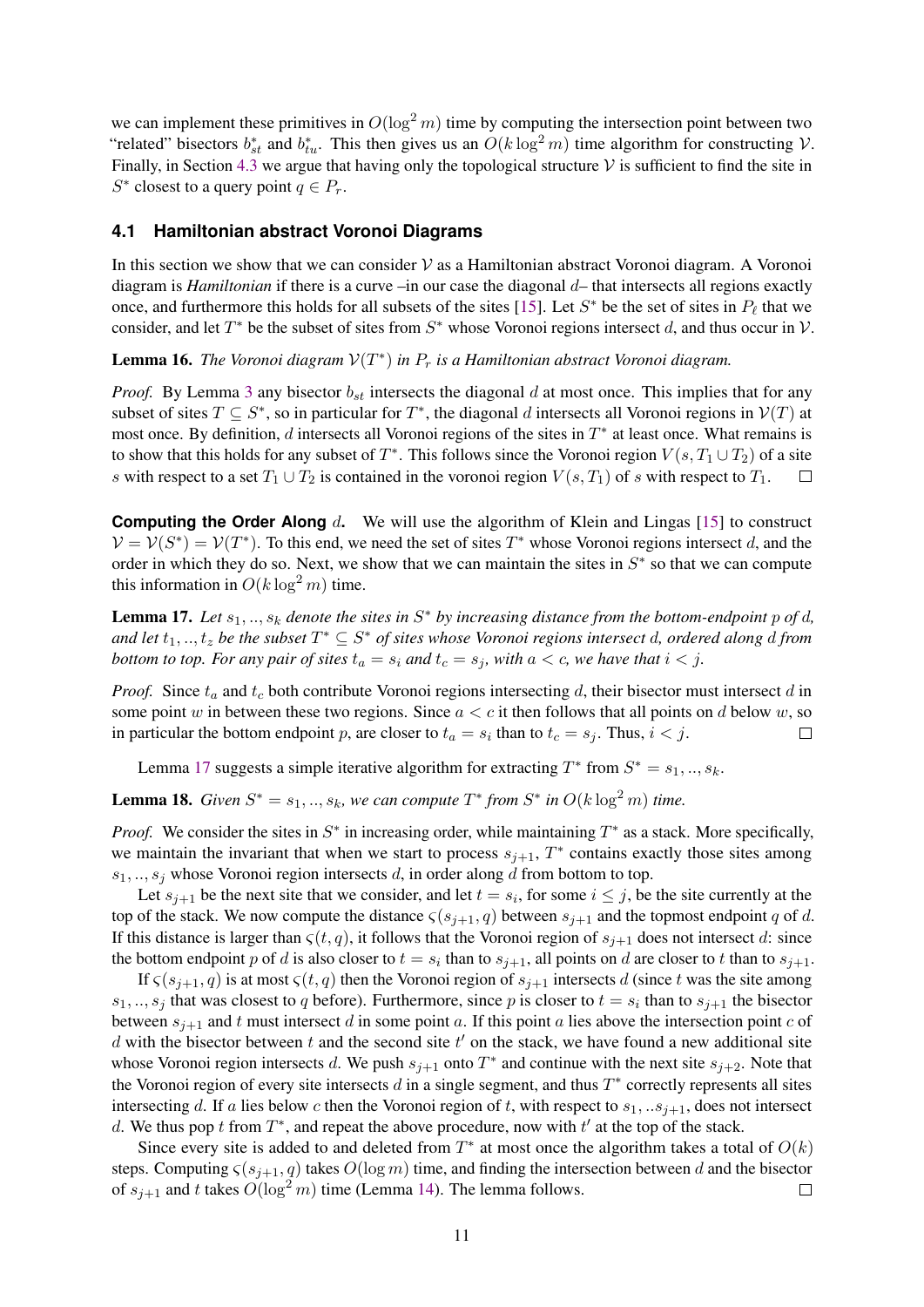we can implement these primitives in  $O(\log^2 m)$  time by computing the intersection point between two "related" bisectors  $b_{st}^*$  and  $b_{tu}^*$ . This then gives us an  $O(k \log^2 m)$  time algorithm for constructing  $V$ . Finally, in Section [4.3](#page-13-0) we argue that having only the topological structure  $V$  is sufficient to find the site in  $S^*$  closest to a query point  $q \in P_r$ .

#### <span id="page-11-0"></span>**4.1 Hamiltonian abstract Voronoi Diagrams**

In this section we show that we can consider  $\mathcal V$  as a Hamiltonian abstract Voronoi diagram. A Voronoi diagram is *Hamiltonian* if there is a curve –in our case the diagonal d– that intersects all regions exactly once, and furthermore this holds for all subsets of the sites [\[15\]](#page-16-5). Let  $S^*$  be the set of sites in  $P_\ell$  that we consider, and let  $T^*$  be the subset of sites from  $S^*$  whose Voronoi regions intersect d, and thus occur in  $\mathcal V$ .

**Lemma 16.** *The Voronoi diagram*  $V(T^*)$  *in*  $P_r$  *is a Hamiltonian abstract Voronoi diagram.* 

*Proof.* By Lemma [3](#page-5-2) any bisector  $b_{st}$  intersects the diagonal d at most once. This implies that for any subset of sites  $T \subseteq S^*$ , so in particular for  $T^*$ , the diagonal d intersects all Voronoi regions in  $V(T)$  at most once. By definition,  $d$  intersects all Voronoi regions of the sites in  $T^*$  at least once. What remains is to show that this holds for any subset of  $T^*$ . This follows since the Voronoi region  $V(s, T_1 \cup T_2)$  of a site s with respect to a set  $T_1 \cup T_2$  is contained in the voronoi region  $V(s, T_1)$  of s with respect to  $T_1$ .

**Computing the Order Along** d. We will use the algorithm of Klein and Lingas [\[15\]](#page-16-5) to construct  $V = V(S^*) = V(T^*)$ . To this end, we need the set of sites  $T^*$  whose Voronoi regions intersect d, and the order in which they do so. Next, we show that we can maintain the sites in  $S^*$  so that we can compute this information in  $O(k \log^2 m)$  time.

<span id="page-11-1"></span>**Lemma 17.** Let  $s_1, \ldots, s_k$  denote the sites in  $S^*$  by increasing distance from the bottom-endpoint p of d, and let  $t_1, ..., t_z$  be the subset  $T^* \subseteq S^*$  of sites whose Voronoi regions intersect d, ordered along d from *bottom to top. For any pair of sites*  $t_a = s_i$  *and*  $t_c = s_j$ *, with*  $a < c$ *, we have that*  $i < j$ *.* 

*Proof.* Since  $t_a$  and  $t_c$  both contribute Voronoi regions intersecting d, their bisector must intersect d in some point w in between these two regions. Since  $a < c$  it then follows that all points on d below w, so in particular the bottom endpoint p, are closer to  $t_a = s_i$  than to  $t_c = s_j$ . Thus,  $i < j$ .  $\Box$ 

Lemma [17](#page-11-1) suggests a simple iterative algorithm for extracting  $T^*$  from  $S^* = s_1, ..., s_k$ .

<span id="page-11-2"></span>**Lemma 18.** *Given*  $S^* = s_1, ..., s_k$ , we can compute  $T^*$  from  $S^*$  in  $O(k \log^2 m)$  time.

*Proof.* We consider the sites in  $S^*$  in increasing order, while maintaining  $T^*$  as a stack. More specifically, we maintain the invariant that when we start to process  $s_{j+1}$ ,  $T^*$  contains exactly those sites among  $s_1, \ldots, s_j$  whose Voronoi region intersects d, in order along d from bottom to top.

Let  $s_{j+1}$  be the next site that we consider, and let  $t = s_i$ , for some  $i \leq j$ , be the site currently at the top of the stack. We now compute the distance  $\zeta(s_{i+1}, q)$  between  $s_{i+1}$  and the topmost endpoint q of d. If this distance is larger than  $\zeta(t, q)$ , it follows that the Voronoi region of  $s_{j+1}$  does not intersect d: since the bottom endpoint p of d is also closer to  $t = s_i$  than to  $s_{j+1}$ , all points on d are closer to t than to  $s_{j+1}$ .

If  $\zeta(s_{j+1}, q)$  is at most  $\zeta(t, q)$  then the Voronoi region of  $s_{j+1}$  intersects d (since t was the site among  $s_1, ..., s_j$  that was closest to q before). Furthermore, since p is closer to  $t = s_i$  than to  $s_{j+1}$  the bisector between  $s_{i+1}$  and t must intersect d in some point a. If this point a lies above the intersection point c of d with the bisector between t and the second site  $t'$  on the stack, we have found a new additional site whose Voronoi region intersects d. We push  $s_{j+1}$  onto  $T^*$  and continue with the next site  $s_{j+2}$ . Note that the Voronoi region of every site intersects  $d$  in a single segment, and thus  $T^*$  correctly represents all sites intersecting d. If a lies below c then the Voronoi region of t, with respect to  $s_1, . .s_{j+1}$ , does not intersect d. We thus pop t from  $T^*$ , and repeat the above procedure, now with  $t'$  at the top of the stack.

Since every site is added to and deleted from  $T^*$  at most once the algorithm takes a total of  $O(k)$ steps. Computing  $\varsigma(s_{j+1}, q)$  takes  $O(\log m)$  time, and finding the intersection between d and the bisector of  $s_{i+1}$  and t takes  $O(\log^2 m)$  time (Lemma [14\)](#page-10-1). The lemma follows.  $\Box$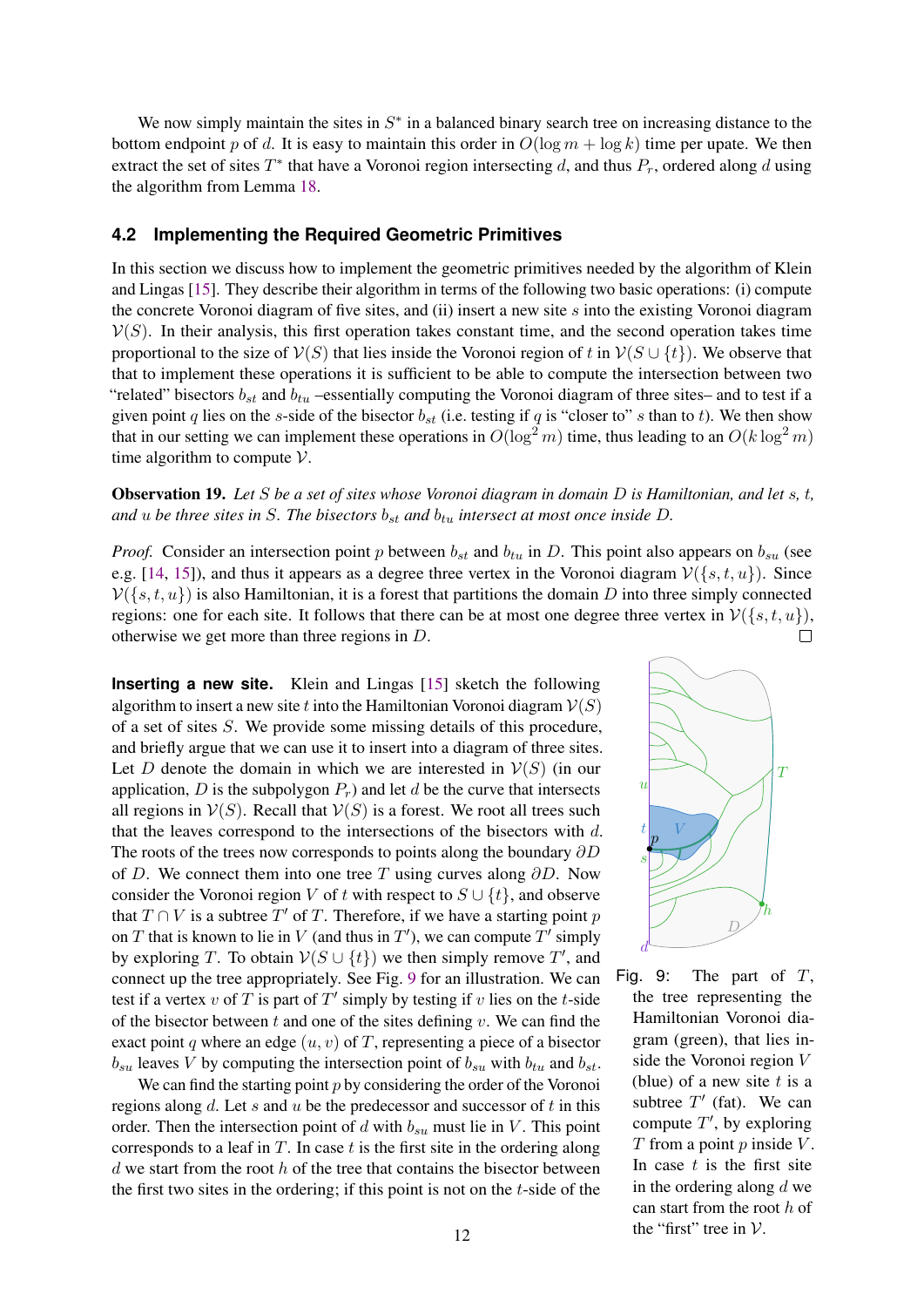We now simply maintain the sites in  $S^*$  in a balanced binary search tree on increasing distance to the bottom endpoint p of d. It is easy to maintain this order in  $O(\log m + \log k)$  time per upate. We then extract the set of sites  $T^*$  that have a Voronoi region intersecting d, and thus  $P_r$ , ordered along d using the algorithm from Lemma [18.](#page-11-2)

#### <span id="page-12-0"></span>**4.2 Implementing the Required Geometric Primitives**

In this section we discuss how to implement the geometric primitives needed by the algorithm of Klein and Lingas [\[15\]](#page-16-5). They describe their algorithm in terms of the following two basic operations: (i) compute the concrete Voronoi diagram of five sites, and (ii) insert a new site  $s$  into the existing Voronoi diagram  $V(S)$ . In their analysis, this first operation takes constant time, and the second operation takes time proportional to the size of  $V(S)$  that lies inside the Voronoi region of t in  $V(S \cup \{t\})$ . We observe that that to implement these operations it is sufficient to be able to compute the intersection between two "related" bisectors  $b_{st}$  and  $b_{tu}$  –essentially computing the Voronoi diagram of three sites– and to test if a given point q lies on the s-side of the bisector  $b_{st}$  (i.e. testing if q is "closer to" s than to t). We then show that in our setting we can implement these operations in  $O(\log^2 m)$  time, thus leading to an  $O(k \log^2 m)$ time algorithm to compute  $V$ .

<span id="page-12-2"></span>Observation 19. *Let* S *be a set of sites whose Voronoi diagram in domain* D *is Hamiltonian, and let* s*,* t*, and*  $u$  *be three sites in*  $S$ *. The bisectors*  $b_{st}$  *and*  $b_{tu}$  *intersect at most once inside*  $D$ *.* 

*Proof.* Consider an intersection point p between  $b_{st}$  and  $b_{tu}$  in D. This point also appears on  $b_{su}$  (see e.g. [\[14,](#page-16-7) [15\]](#page-16-5)), and thus it appears as a degree three vertex in the Voronoi diagram  $V({s, t, u})$ . Since  $\mathcal{V}(\{s,t,u\})$  is also Hamiltonian, it is a forest that partitions the domain D into three simply connected regions: one for each site. It follows that there can be at most one degree three vertex in  $V(\{s, t, u\})$ , otherwise we get more than three regions in D. otherwise we get more than three regions in D.

**Inserting a new site.** Klein and Lingas [\[15\]](#page-16-5) sketch the following algorithm to insert a new site t into the Hamiltonian Voronoi diagram  $V(S)$ of a set of sites S. We provide some missing details of this procedure, and briefly argue that we can use it to insert into a diagram of three sites. Let D denote the domain in which we are interested in  $V(S)$  (in our application, D is the subpolygon  $P_r$ ) and let d be the curve that intersects all regions in  $V(S)$ . Recall that  $V(S)$  is a forest. We root all trees such that the leaves correspond to the intersections of the bisectors with d. The roots of the trees now corresponds to points along the boundary  $\partial D$ of D. We connect them into one tree T using curves along  $\partial D$ . Now consider the Voronoi region V of t with respect to  $S \cup \{t\}$ , and observe that  $T \cap V$  is a subtree  $T'$  of  $T$ . Therefore, if we have a starting point  $p$ on T that is known to lie in V (and thus in T'), we can compute T' simply by exploring T. To obtain  $V(S \cup \{t\})$  we then simply remove T', and connect up the tree appropriately. See Fig. [9](#page-12-1) for an illustration. We can test if a vertex v of T is part of T' simply by testing if v lies on the t-side of the bisector between  $t$  and one of the sites defining  $v$ . We can find the exact point q where an edge  $(u, v)$  of T, representing a piece of a bisector  $b_{su}$  leaves V by computing the intersection point of  $b_{su}$  with  $b_{tu}$  and  $b_{st}$ .

We can find the starting point  $p$  by considering the order of the Voronoi regions along d. Let s and u be the predecessor and successor of t in this order. Then the intersection point of d with  $b_{su}$  must lie in V. This point corresponds to a leaf in  $T$ . In case  $t$  is the first site in the ordering along  $d$  we start from the root  $h$  of the tree that contains the bisector between the first two sites in the ordering; if this point is not on the  $t$ -side of the

<span id="page-12-1"></span>

Fig. 9: The part of  $T$ , the tree representing the Hamiltonian Voronoi diagram (green), that lies inside the Voronoi region V (blue) of a new site  $t$  is a subtree  $T'$  (fat). We can compute  $T'$ , by exploring  $T$  from a point  $p$  inside  $V$ . In case  $t$  is the first site in the ordering along  $d$  we can start from the root h of the "first" tree in  $V$ .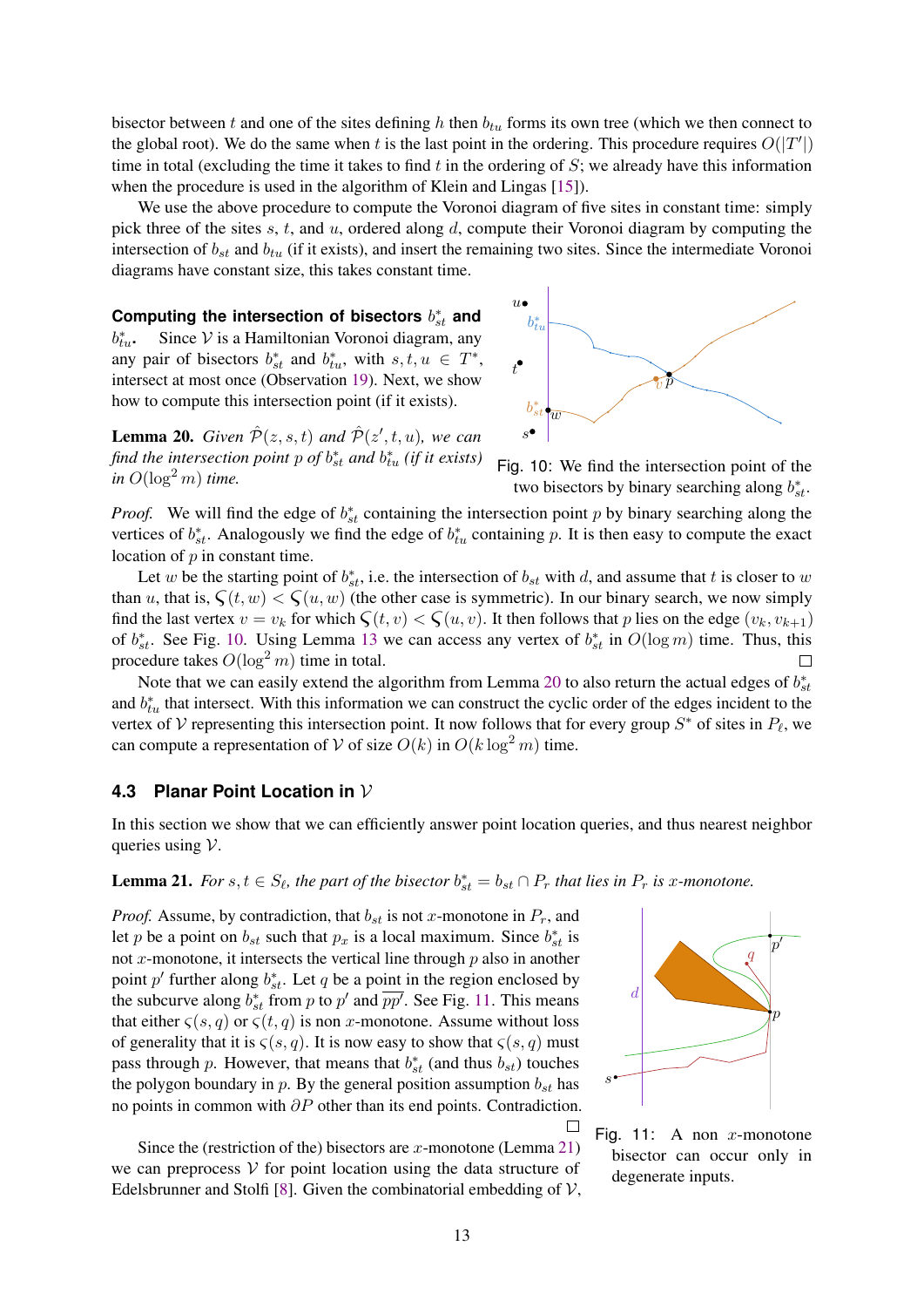bisector between t and one of the sites defining h then  $b_{tu}$  forms its own tree (which we then connect to the global root). We do the same when t is the last point in the ordering. This procedure requires  $O(|T'|)$ time in total (excluding the time it takes to find  $t$  in the ordering of  $S$ ; we already have this information when the procedure is used in the algorithm of Klein and Lingas [\[15\]](#page-16-5)).

We use the above procedure to compute the Voronoi diagram of five sites in constant time: simply pick three of the sites  $s, t$ , and  $u$ , ordered along  $d$ , compute their Voronoi diagram by computing the intersection of  $b_{st}$  and  $b_{tu}$  (if it exists), and insert the remaining two sites. Since the intermediate Voronoi diagrams have constant size, this takes constant time.

Computing the intersection of bisectors  $b_{st}^*$  and  $b_{tu}^*$ . Since  $\mathcal V$  is a Hamiltonian Voronoi diagram, any any pair of bisectors  $b_{st}^*$  and  $b_{tu}^*$ , with  $s, t, u \in T^*$ , intersect at most once (Observation [19\)](#page-12-2). Next, we show how to compute this intersection point (if it exists).

<span id="page-13-2"></span>**Lemma 20.** *Given*  $\hat{\mathcal{P}}(z,s,t)$  *and*  $\hat{\mathcal{P}}(z',t,u)$ *, we can* find the intersection point  $p$  of  $b_{st}^*$  and  $b_{tu}^*$  (if it exists) *in*  $O(\log^2 m)$  *time.* 

<span id="page-13-1"></span>



*Proof.* We will find the edge of  $b_{st}^*$  containing the intersection point p by binary searching along the vertices of  $b_{st}^*$ . Analogously we find the edge of  $b_{tu}^*$  containing p. It is then easy to compute the exact location of  $p$  in constant time.

Let w be the starting point of  $b_{st}^*$ , i.e. the intersection of  $b_{st}$  with d, and assume that t is closer to w than u, that is,  $\zeta(t, w) < \zeta(u, w)$  (the other case is symmetric). In our binary search, we now simply find the last vertex  $v = v_k$  for which  $\zeta(t, v) < \zeta(u, v)$ . It then follows that p lies on the edge  $(v_k, v_{k+1})$ of  $b_{st}^*$ . See Fig. [10.](#page-13-1) Using Lemma [13](#page-10-2) we can access any vertex of  $b_{st}^*$  in  $O(\log m)$  time. Thus, this procedure takes  $O(\log^2 m)$  time in total.  $\Box$ 

Note that we can easily extend the algorithm from Lemma [20](#page-13-2) to also return the actual edges of  $b_{st}^*$ and  $b_{tu}^*$  that intersect. With this information we can construct the cyclic order of the edges incident to the vertex of V representing this intersection point. It now follows that for every group  $S^*$  of sites in  $P_\ell$ , we can compute a representation of V of size  $O(k)$  in  $O(k \log^2 m)$  time.

# <span id="page-13-0"></span>**4.3 Planar Point Location in** V

In this section we show that we can efficiently answer point location queries, and thus nearest neighbor queries using  $V$ .

<span id="page-13-4"></span>**Lemma 21.** For  $s, t \in S_\ell$ , the part of the bisector  $b_{st}^* = b_{st} \cap P_r$  that lies in  $P_r$  is x-monotone.

*Proof.* Assume, by contradiction, that  $b_{st}$  is not x-monotone in  $P_r$ , and let p be a point on  $b_{st}$  such that  $p_x$  is a local maximum. Since  $b_{st}^*$  is not  $x$ -monotone, it intersects the vertical line through  $p$  also in another point p' further along  $b_{st}^*$ . Let q be a point in the region enclosed by the subcurve along  $b_{st}^*$  from p to p' and  $\overline{pp'}$ . See Fig. [11.](#page-13-3) This means that either  $\zeta(s,q)$  or  $\zeta(t,q)$  is non x-monotone. Assume without loss of generality that it is  $\varsigma(s,q)$ . It is now easy to show that  $\varsigma(s,q)$  must pass through p. However, that means that  $b_{st}^*$  (and thus  $b_{st}$ ) touches the polygon boundary in p. By the general position assumption  $b_{st}$  has no points in common with  $\partial P$  other than its end points. Contradiction.  $\Box$ 

Since the (restriction of the) bisectors are  $x$ -monotone (Lemma [21\)](#page-13-4) we can preprocess  $V$  for point location using the data structure of Edelsbrunner and Stolfi [\[8\]](#page-15-10). Given the combinatorial embedding of  $V$ ,

<span id="page-13-3"></span>

Fig. 11: A non  $x$ -monotone bisector can occur only in degenerate inputs.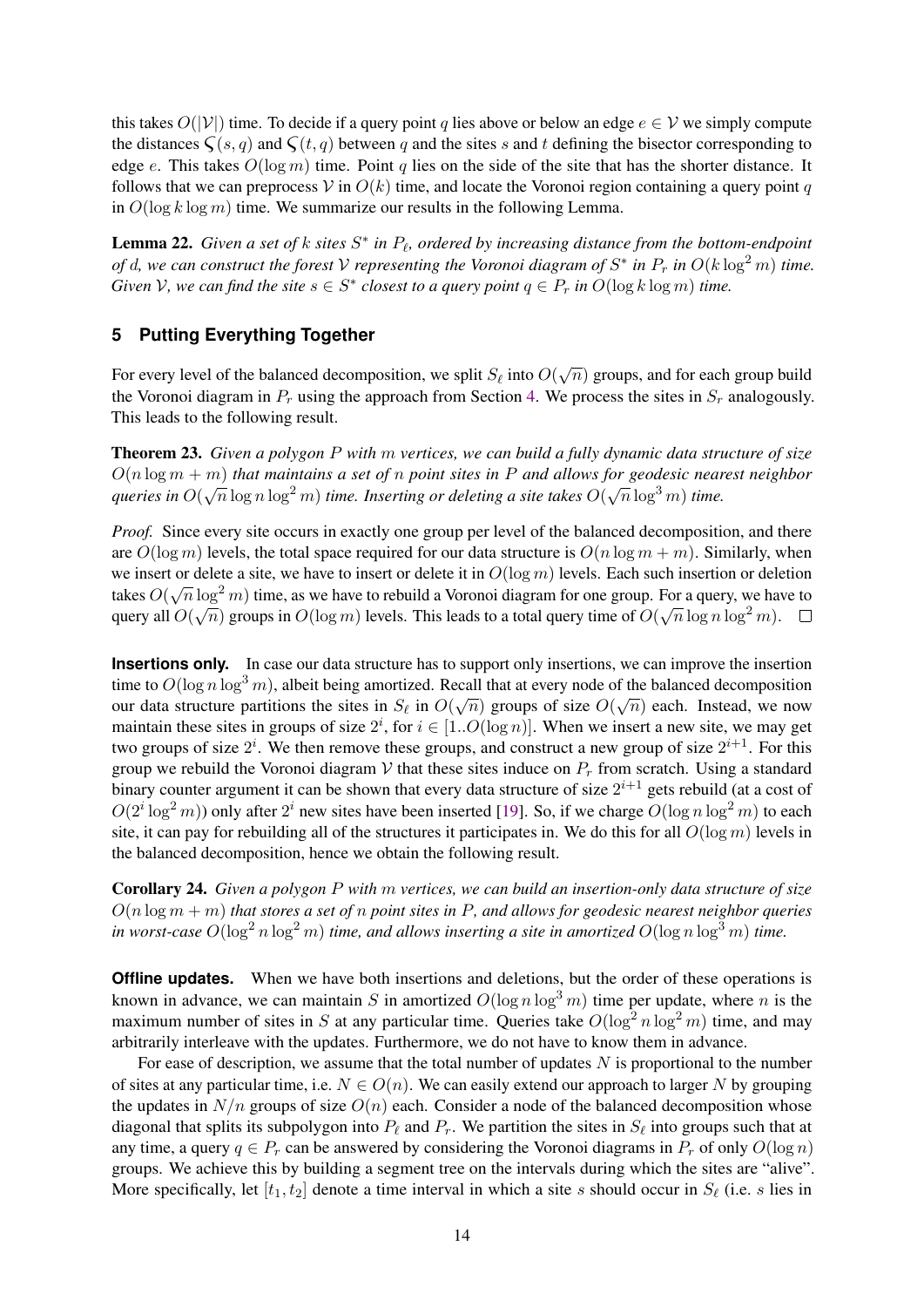this takes  $O(|V|)$  time. To decide if a query point q lies above or below an edge  $e \in V$  we simply compute the distances  $\zeta(s, q)$  and  $\zeta(t, q)$  between q and the sites s and t defining the bisector corresponding to edge e. This takes  $O(\log m)$  time. Point q lies on the side of the site that has the shorter distance. It follows that we can preprocess V in  $O(k)$  time, and locate the Voronoi region containing a query point q in  $O(\log k \log m)$  time. We summarize our results in the following Lemma.

**Lemma 22.** Given a set of k sites  $S^*$  in  $P_\ell$ , ordered by increasing distance from the bottom-endpoint *of* d, we can construct the forest V representing the Voronoi diagram of  $S^*$  in  $P_r$  in  $O(k \log^2 m)$  time. *Given*  $V$ , we can find the site  $s \in S^*$  closest to a query point  $q \in P_r$  in  $O(\log k \log m)$  time.

# <span id="page-14-0"></span>**5 Putting Everything Together**

For every level of the balanced decomposition, we split  $S_\ell$  into  $O(\sqrt{n})$  groups, and for each group build the Voronoi diagram in  $P_r$  using the approach from Section [4.](#page-10-0) We process the sites in  $S_r$  analogously. This leads to the following result.

Theorem 23. *Given a polygon* P *with* m *vertices, we can build a fully dynamic data structure of size* O(n log m + m) *that maintains a set of* n *point sites in* P *and allows for geodesic nearest neighbor*  $q$ ueries in  $O(\sqrt{n}\log n\log^2 m)$  *time. Inserting or deleting a site takes*  $O(\sqrt{n}\log^3 m)$  *time.* 

*Proof.* Since every site occurs in exactly one group per level of the balanced decomposition, and there are  $O(\log m)$  levels, the total space required for our data structure is  $O(n \log m + m)$ . Similarly, when we insert or delete a site, we have to insert or delete it in  $O(\log m)$  levels. Each such insertion or deletion takes  $O(\sqrt{n}\log^2 m)$  time, as we have to rebuild a Voronoi diagram for one group. For a query, we have to query all  $O(\sqrt{n})$  groups in  $O(\log m)$  levels. This leads to a total query time of  $O(\sqrt{n}\log n\log^2 m)$ .

**Insertions only.** In case our data structure has to support only insertions, we can improve the insertion time to  $O(\log n \log^3 m)$ , albeit being amortized. Recall that at every node of the balanced decomposition our data structure partitions the sites in  $S_\ell$  in  $O(\sqrt{n})$  groups of size  $O(\sqrt{n})$  each. Instead, we now maintain these sites in groups of size  $2^i$ , for  $i \in [1..O(\log n)]$ . When we insert a new site, we may get two groups of size  $2^i$ . We then remove these groups, and construct a new group of size  $2^{i+1}$ . For this group we rebuild the Voronoi diagram V that these sites induce on  $P_r$  from scratch. Using a standard binary counter argument it can be shown that every data structure of size  $2^{i+1}$  gets rebuild (at a cost of  $O(2^i \log^2 m)$ ) only after  $2^i$  new sites have been inserted [\[19\]](#page-16-8). So, if we charge  $O(\log n \log^2 m)$  to each site, it can pay for rebuilding all of the structures it participates in. We do this for all  $O(\log m)$  levels in the balanced decomposition, hence we obtain the following result.

Corollary 24. *Given a polygon* P *with* m *vertices, we can build an insertion-only data structure of size* O(n log m + m) *that stores a set of* n *point sites in* P*, and allows for geodesic nearest neighbor queries in worst-case*  $O(\log^2 n \log^2 m)$  *time, and allows inserting a site in amortized*  $O(\log n \log^3 m)$  *time.* 

**Offline updates.** When we have both insertions and deletions, but the order of these operations is known in advance, we can maintain S in amortized  $O(\log n \log^3 m)$  time per update, where n is the maximum number of sites in S at any particular time. Queries take  $O(\log^2 n \log^2 m)$  time, and may arbitrarily interleave with the updates. Furthermore, we do not have to know them in advance.

For ease of description, we assume that the total number of updates  $N$  is proportional to the number of sites at any particular time, i.e.  $N \in O(n)$ . We can easily extend our approach to larger N by grouping the updates in  $N/n$  groups of size  $O(n)$  each. Consider a node of the balanced decomposition whose diagonal that splits its subpolygon into  $P_\ell$  and  $P_r$ . We partition the sites in  $S_\ell$  into groups such that at any time, a query  $q \in P_r$  can be answered by considering the Voronoi diagrams in  $P_r$  of only  $O(\log n)$ groups. We achieve this by building a segment tree on the intervals during which the sites are "alive". More specifically, let  $[t_1, t_2]$  denote a time interval in which a site s should occur in  $S_\ell$  (i.e. s lies in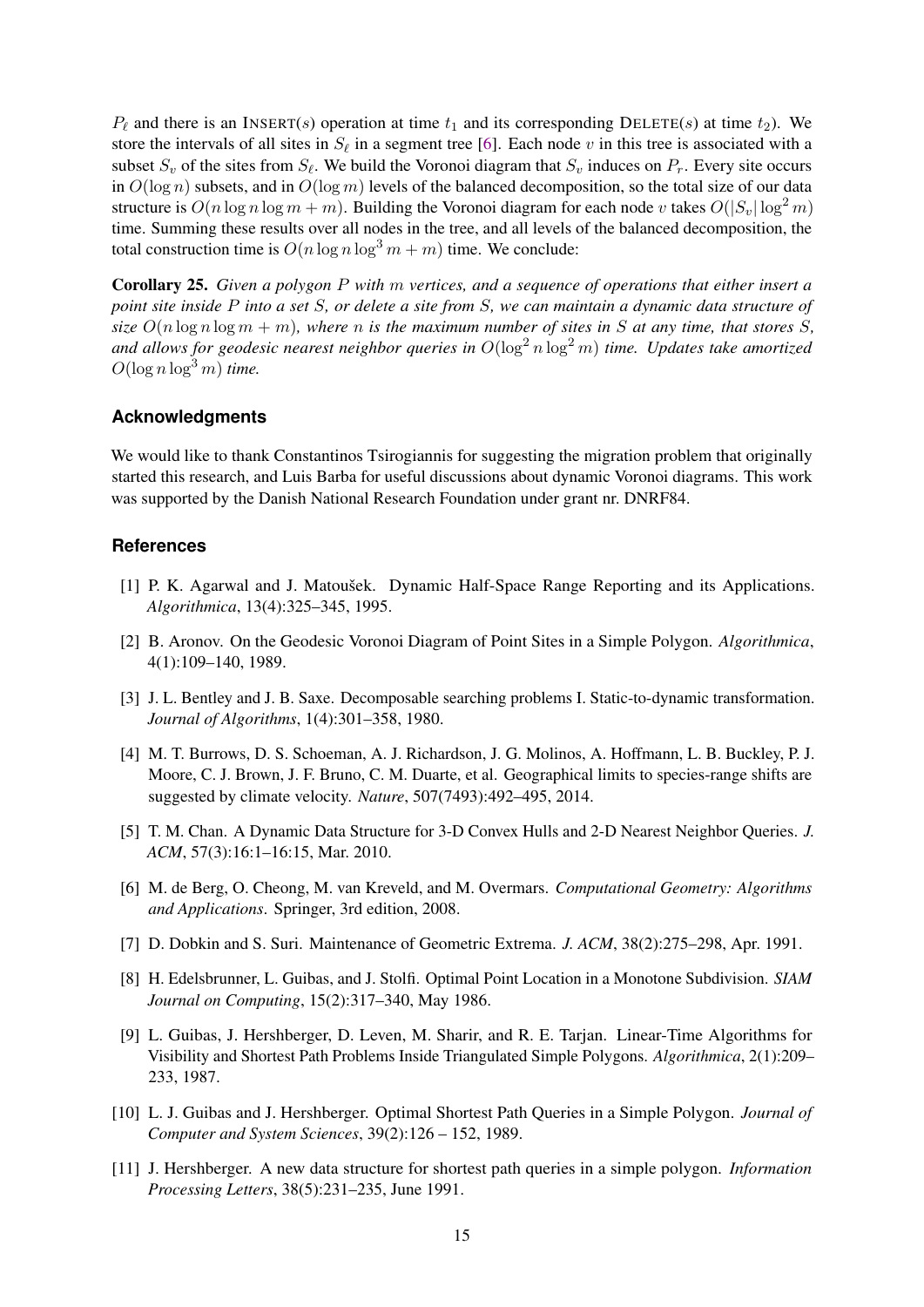$P_\ell$  and there is an INSERT(s) operation at time  $t_1$  and its corresponding DELETE(s) at time  $t_2$ ). We store the intervals of all sites in  $S_\ell$  in a segment tree [\[6\]](#page-15-1). Each node v in this tree is associated with a subset  $S_v$  of the sites from  $S_\ell$ . We build the Voronoi diagram that  $S_v$  induces on  $P_r$ . Every site occurs in  $O(\log n)$  subsets, and in  $O(\log m)$  levels of the balanced decomposition, so the total size of our data structure is  $O(n \log n \log m + m)$ . Building the Voronoi diagram for each node v takes  $O(|S_n| \log^2 m)$ time. Summing these results over all nodes in the tree, and all levels of the balanced decomposition, the total construction time is  $O(n \log n \log^3 m + m)$  time. We conclude:

Corollary 25. *Given a polygon* P *with* m *vertices, and a sequence of operations that either insert a point site inside* P *into a set* S*, or delete a site from* S*, we can maintain a dynamic data structure of size*  $O(n \log n \log m + m)$ *, where n is the maximum number of sites in S at any time, that stores S*, *and allows for geodesic nearest neighbor queries in*  $O(\log^2 n \log^2 m)$  *time. Updates take amortized*  $O(\log n \log^3 m)$  *time.* 

# **Acknowledgments**

We would like to thank Constantinos Tsirogiannis for suggesting the migration problem that originally started this research, and Luis Barba for useful discussions about dynamic Voronoi diagrams. This work was supported by the Danish National Research Foundation under grant nr. DNRF84.

#### **References**

- <span id="page-15-4"></span>[1] P. K. Agarwal and J. Matoušek. Dynamic Half-Space Range Reporting and its Applications. *Algorithmica*, 13(4):325–345, 1995.
- <span id="page-15-2"></span>[2] B. Aronov. On the Geodesic Voronoi Diagram of Point Sites in a Simple Polygon. *Algorithmica*, 4(1):109–140, 1989.
- <span id="page-15-3"></span>[3] J. L. Bentley and J. B. Saxe. Decomposable searching problems I. Static-to-dynamic transformation. *Journal of Algorithms*, 1(4):301–358, 1980.
- <span id="page-15-0"></span>[4] M. T. Burrows, D. S. Schoeman, A. J. Richardson, J. G. Molinos, A. Hoffmann, L. B. Buckley, P. J. Moore, C. J. Brown, J. F. Bruno, C. M. Duarte, et al. Geographical limits to species-range shifts are suggested by climate velocity. *Nature*, 507(7493):492–495, 2014.
- <span id="page-15-6"></span>[5] T. M. Chan. A Dynamic Data Structure for 3-D Convex Hulls and 2-D Nearest Neighbor Queries. *J. ACM*, 57(3):16:1–16:15, Mar. 2010.
- <span id="page-15-1"></span>[6] M. de Berg, O. Cheong, M. van Kreveld, and M. Overmars. *Computational Geometry: Algorithms and Applications*. Springer, 3rd edition, 2008.
- <span id="page-15-5"></span>[7] D. Dobkin and S. Suri. Maintenance of Geometric Extrema. *J. ACM*, 38(2):275–298, Apr. 1991.
- <span id="page-15-10"></span>[8] H. Edelsbrunner, L. Guibas, and J. Stolfi. Optimal Point Location in a Monotone Subdivision. *SIAM Journal on Computing*, 15(2):317–340, May 1986.
- <span id="page-15-9"></span>[9] L. Guibas, J. Hershberger, D. Leven, M. Sharir, and R. E. Tarjan. Linear-Time Algorithms for Visibility and Shortest Path Problems Inside Triangulated Simple Polygons. *Algorithmica*, 2(1):209– 233, 1987.
- <span id="page-15-7"></span>[10] L. J. Guibas and J. Hershberger. Optimal Shortest Path Queries in a Simple Polygon. *Journal of Computer and System Sciences*, 39(2):126 – 152, 1989.
- <span id="page-15-8"></span>[11] J. Hershberger. A new data structure for shortest path queries in a simple polygon. *Information Processing Letters*, 38(5):231–235, June 1991.